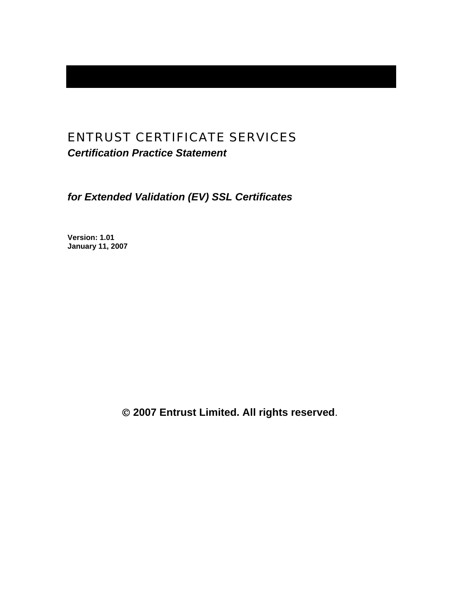# ENTRUST CERTIFICATE SERVICES

*Certification Practice Statement* 

*for Extended Validation (EV) SSL Certificates* 

**Version: 1.01 January 11, 2007** 

© **2007 Entrust Limited. All rights reserved**.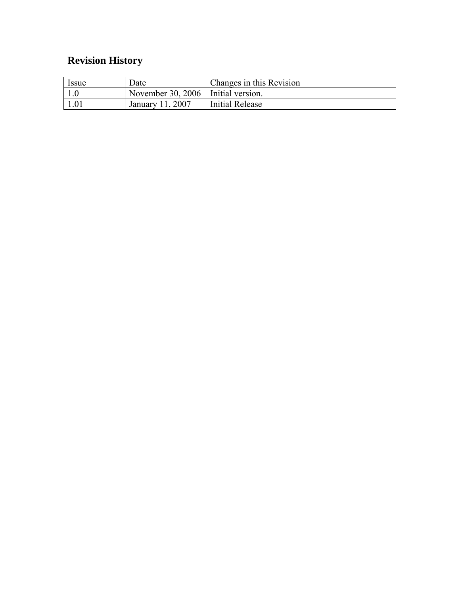# **Revision History**

| <i>Issue</i> | Date                                 | Changes in this Revision |
|--------------|--------------------------------------|--------------------------|
|              | November 30, 2006   Initial version. |                          |
| 1.01         | January 11, 2007                     | Initial Release          |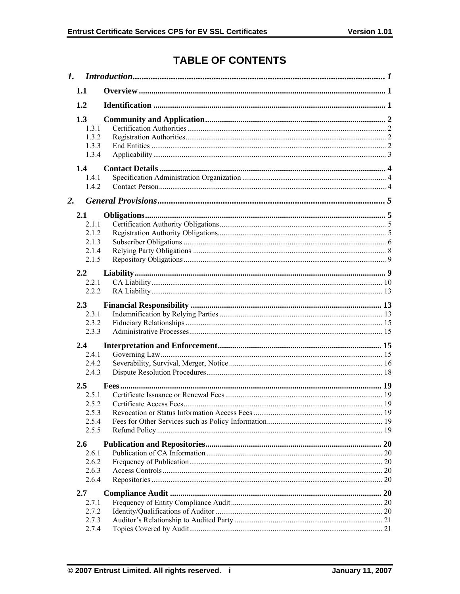# **TABLE OF CONTENTS**

| $\mathbf{I}$ . |                                                  |  |
|----------------|--------------------------------------------------|--|
|                | 1.1                                              |  |
|                | 1.2                                              |  |
|                | 1.3<br>1.3.1<br>1.3.2<br>1.3.3<br>1.3.4          |  |
|                | 1.4<br>1.4.1<br>1.4.2                            |  |
| 2.             |                                                  |  |
|                | 2.1<br>2.1.1<br>2.1.2<br>2.1.3<br>2.1.4<br>2.1.5 |  |
|                | 2.2                                              |  |
|                | 2.2.1                                            |  |
|                | 2.2.2                                            |  |
|                | 2.3<br>2.3.1<br>2.3.2<br>2.3.3                   |  |
|                | 2.4                                              |  |
|                | 2.4.1<br>2.4.2<br>2.4.3                          |  |
|                | $2.5^{\circ}$                                    |  |
|                | 2.5.1<br>2.5.2                                   |  |
|                | 2.5.3                                            |  |
|                | 2.5.4<br>2.5.5                                   |  |
|                | 2.6                                              |  |
|                | 2.6.1<br>2.6.2                                   |  |
|                | 2.6.3                                            |  |
|                | 2.6.4                                            |  |
|                | 2.7                                              |  |
|                | 2.7.1                                            |  |
|                | 2.7.2<br>2.7.3                                   |  |
|                | 2.7.4                                            |  |
|                |                                                  |  |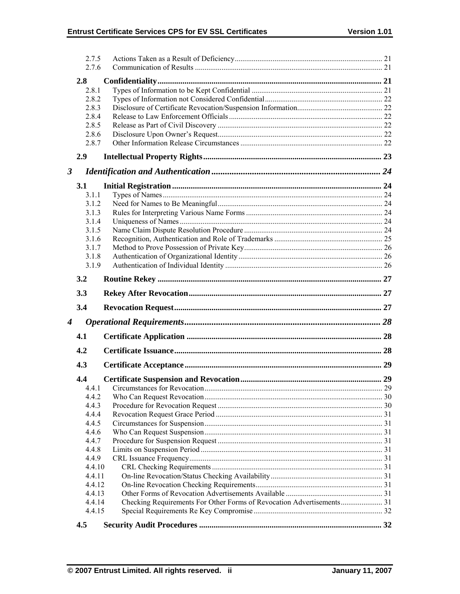|   | 2.7.5  |  |
|---|--------|--|
|   | 2.7.6  |  |
|   | 2.8    |  |
|   | 2.8.1  |  |
|   | 2.8.2  |  |
|   | 2.8.3  |  |
|   | 2.8.4  |  |
|   | 2.8.5  |  |
|   | 2.8.6  |  |
|   | 2.8.7  |  |
|   | 2.9    |  |
| 3 |        |  |
|   | 3.1    |  |
|   | 3.1.1  |  |
|   | 3.1.2  |  |
|   | 3.1.3  |  |
|   | 3.1.4  |  |
|   | 3.1.5  |  |
|   | 3.1.6  |  |
|   | 3.1.7  |  |
|   | 3.1.8  |  |
|   | 3.1.9  |  |
|   | 3.2    |  |
|   | 3.3    |  |
|   | 3.4    |  |
| 4 |        |  |
|   | 4.1    |  |
|   | 4.2    |  |
|   | 4.3    |  |
|   | 4.4    |  |
|   | 4.4.1  |  |
|   | 4.4.2  |  |
|   | 4.4.3  |  |
|   | 4.4.4  |  |
|   | 4.4.5  |  |
|   | 4.4.6  |  |
|   | 4.4.7  |  |
|   | 4.4.8  |  |
|   | 4.4.9  |  |
|   | 4.4.10 |  |
|   | 4.4.11 |  |
|   | 4.4.12 |  |
|   | 4.4.13 |  |
|   | 4.4.14 |  |
|   | 4.4.15 |  |
|   | 4.5    |  |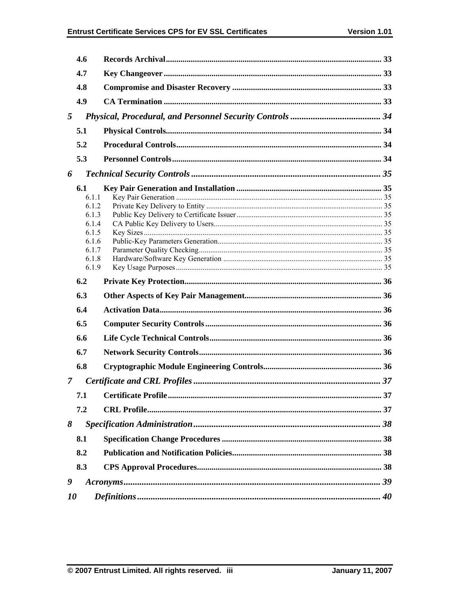|   | 4.6            |  |
|---|----------------|--|
|   | 4.7            |  |
|   | 4.8            |  |
|   | 4.9            |  |
| 5 |                |  |
|   | 5.1            |  |
|   | 5.2            |  |
|   | 5.3            |  |
|   |                |  |
| 6 |                |  |
|   | 6.1            |  |
|   | 6.1.1          |  |
|   | 6.1.2<br>6.1.3 |  |
|   | 6.1.4          |  |
|   | 6.1.5          |  |
|   | 6.1.6          |  |
|   | 6.1.7          |  |
|   | 6.1.8          |  |
|   | 6.1.9          |  |
|   | 6.2            |  |
|   |                |  |
|   | 6.3            |  |
|   | 6.4            |  |
|   | 6.5            |  |
|   | 6.6            |  |
|   | 6.7            |  |
|   | 6.8            |  |
| 7 |                |  |
|   | 7.1            |  |
|   | 7.2            |  |
| 8 |                |  |
|   | 8.1            |  |
|   | 8.2            |  |
|   | 8.3            |  |
| 9 |                |  |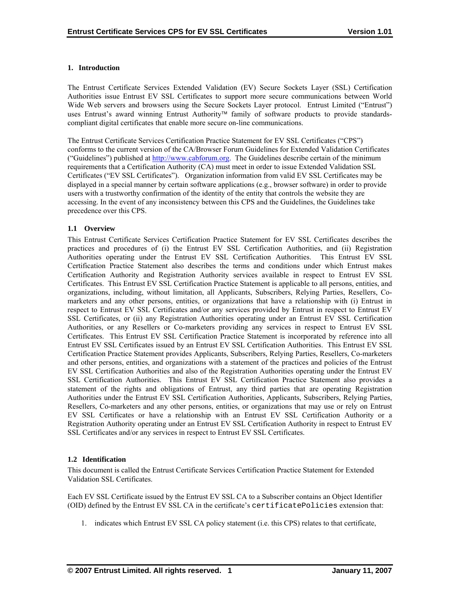# <span id="page-5-0"></span>**1. Introduction**

The Entrust Certificate Services Extended Validation (EV) Secure Sockets Layer (SSL) Certification Authorities issue Entrust EV SSL Certificates to support more secure communications between World Wide Web servers and browsers using the Secure Sockets Layer protocol. Entrust Limited ("Entrust") uses Entrust's award winning Entrust Authority™ family of software products to provide standardscompliant digital certificates that enable more secure on-line communications.

The Entrust Certificate Services Certification Practice Statement for EV SSL Certificates ("CPS") conforms to the current version of the CA/Browser Forum Guidelines for Extended Validation Certificates ("Guidelines") published at [http://www.cabforum.org](http://www.cabforum.org/). The Guidelines describe certain of the minimum requirements that a Certification Authority (CA) must meet in order to issue Extended Validation SSL Certificates ("EV SSL Certificates"). Organization information from valid EV SSL Certificates may be displayed in a special manner by certain software applications (e.g., browser software) in order to provide users with a trustworthy confirmation of the identity of the entity that controls the website they are accessing. In the event of any inconsistency between this CPS and the Guidelines, the Guidelines take precedence over this CPS.

# **1.1 Overview**

This Entrust Certificate Services Certification Practice Statement for EV SSL Certificates describes the practices and procedures of (i) the Entrust EV SSL Certification Authorities, and (ii) Registration Authorities operating under the Entrust EV SSL Certification Authorities. This Entrust EV SSL Certification Practice Statement also describes the terms and conditions under which Entrust makes Certification Authority and Registration Authority services available in respect to Entrust EV SSL Certificates. This Entrust EV SSL Certification Practice Statement is applicable to all persons, entities, and organizations, including, without limitation, all Applicants, Subscribers, Relying Parties, Resellers, Comarketers and any other persons, entities, or organizations that have a relationship with (i) Entrust in respect to Entrust EV SSL Certificates and/or any services provided by Entrust in respect to Entrust EV SSL Certificates, or (ii) any Registration Authorities operating under an Entrust EV SSL Certification Authorities, or any Resellers or Co-marketers providing any services in respect to Entrust EV SSL Certificates. This Entrust EV SSL Certification Practice Statement is incorporated by reference into all Entrust EV SSL Certificates issued by an Entrust EV SSL Certification Authorities. This Entrust EV SSL Certification Practice Statement provides Applicants, Subscribers, Relying Parties, Resellers, Co-marketers and other persons, entities, and organizations with a statement of the practices and policies of the Entrust EV SSL Certification Authorities and also of the Registration Authorities operating under the Entrust EV SSL Certification Authorities. This Entrust EV SSL Certification Practice Statement also provides a statement of the rights and obligations of Entrust, any third parties that are operating Registration Authorities under the Entrust EV SSL Certification Authorities, Applicants, Subscribers, Relying Parties, Resellers, Co-marketers and any other persons, entities, or organizations that may use or rely on Entrust EV SSL Certificates or have a relationship with an Entrust EV SSL Certification Authority or a Registration Authority operating under an Entrust EV SSL Certification Authority in respect to Entrust EV SSL Certificates and/or any services in respect to Entrust EV SSL Certificates.

# **1.2 Identification**

This document is called the Entrust Certificate Services Certification Practice Statement for Extended Validation SSL Certificates.

Each EV SSL Certificate issued by the Entrust EV SSL CA to a Subscriber contains an Object Identifier (OID) defined by the Entrust EV SSL CA in the certificate's certificatePolicies extension that:

1. indicates which Entrust EV SSL CA policy statement (i.e. this CPS) relates to that certificate,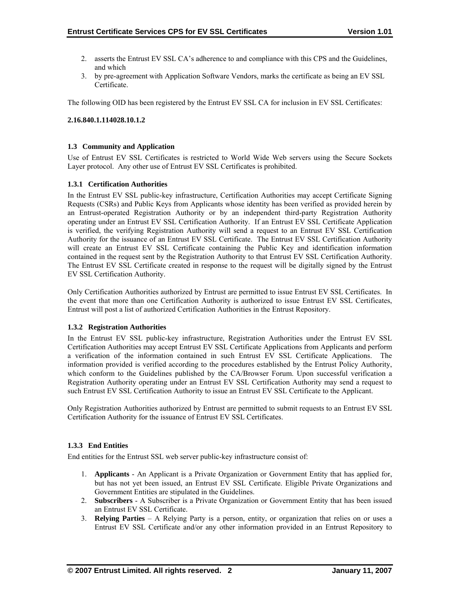- <span id="page-6-0"></span>2. asserts the Entrust EV SSL CA's adherence to and compliance with this CPS and the Guidelines, and which
- 3. by pre-agreement with Application Software Vendors, marks the certificate as being an EV SSL Certificate.

The following OID has been registered by the Entrust EV SSL CA for inclusion in EV SSL Certificates:

#### **2.16.840.1.114028.10.1.2**

#### **1.3 Community and Application**

Use of Entrust EV SSL Certificates is restricted to World Wide Web servers using the Secure Sockets Layer protocol. Any other use of Entrust EV SSL Certificates is prohibited.

# **1.3.1 Certification Authorities**

In the Entrust EV SSL public-key infrastructure, Certification Authorities may accept Certificate Signing Requests (CSRs) and Public Keys from Applicants whose identity has been verified as provided herein by an Entrust-operated Registration Authority or by an independent third-party Registration Authority operating under an Entrust EV SSL Certification Authority. If an Entrust EV SSL Certificate Application is verified, the verifying Registration Authority will send a request to an Entrust EV SSL Certification Authority for the issuance of an Entrust EV SSL Certificate. The Entrust EV SSL Certification Authority will create an Entrust EV SSL Certificate containing the Public Key and identification information contained in the request sent by the Registration Authority to that Entrust EV SSL Certification Authority. The Entrust EV SSL Certificate created in response to the request will be digitally signed by the Entrust EV SSL Certification Authority.

Only Certification Authorities authorized by Entrust are permitted to issue Entrust EV SSL Certificates. In the event that more than one Certification Authority is authorized to issue Entrust EV SSL Certificates, Entrust will post a list of authorized Certification Authorities in the Entrust Repository.

#### **1.3.2 Registration Authorities**

In the Entrust EV SSL public-key infrastructure, Registration Authorities under the Entrust EV SSL Certification Authorities may accept Entrust EV SSL Certificate Applications from Applicants and perform a verification of the information contained in such Entrust EV SSL Certificate Applications. The information provided is verified according to the procedures established by the Entrust Policy Authority, which conform to the Guidelines published by the CA/Browser Forum. Upon successful verification a Registration Authority operating under an Entrust EV SSL Certification Authority may send a request to such Entrust EV SSL Certification Authority to issue an Entrust EV SSL Certificate to the Applicant.

Only Registration Authorities authorized by Entrust are permitted to submit requests to an Entrust EV SSL Certification Authority for the issuance of Entrust EV SSL Certificates.

#### **1.3.3 End Entities**

End entities for the Entrust SSL web server public-key infrastructure consist of:

- 1. **Applicants** An Applicant is a Private Organization or Government Entity that has applied for, but has not yet been issued, an Entrust EV SSL Certificate. Eligible Private Organizations and Government Entities are stipulated in the Guidelines.
- 2. **Subscribers**  A Subscriber is a Private Organization or Government Entity that has been issued an Entrust EV SSL Certificate.
- 3. **Relying Parties**  A Relying Party is a person, entity, or organization that relies on or uses a Entrust EV SSL Certificate and/or any other information provided in an Entrust Repository to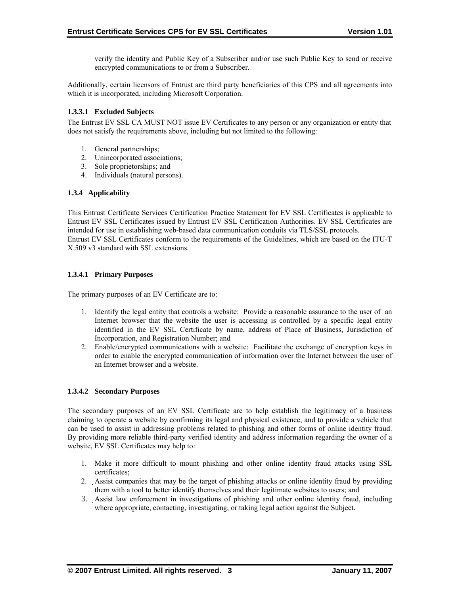verify the identity and Public Key of a Subscriber and/or use such Public Key to send or receive encrypted communications to or from a Subscriber.

<span id="page-7-0"></span>Additionally, certain licensors of Entrust are third party beneficiaries of this CPS and all agreements into which it is incorporated, including Microsoft Corporation.

# **1.3.3.1 Excluded Subjects**

The Entrust EV SSL CA MUST NOT issue EV Certificates to any person or any organization or entity that does not satisfy the requirements above, including but not limited to the following:

- 1. General partnerships;
- 2. Unincorporated associations;
- 3. Sole proprietorships; and
- 4. Individuals (natural persons).

# **1.3.4 Applicability**

This Entrust Certificate Services Certification Practice Statement for EV SSL Certificates is applicable to Entrust EV SSL Certificates issued by Entrust EV SSL Certification Authorities. EV SSL Certificates are intended for use in establishing web-based data communication conduits via TLS/SSL protocols. Entrust EV SSL Certificates conform to the requirements of the Guidelines, which are based on the ITU-T X.509 v3 standard with SSL extensions.

# **1.3.4.1 Primary Purposes**

The primary purposes of an EV Certificate are to:

- 1. Identify the legal entity that controls a website: Provide a reasonable assurance to the user of an Internet browser that the website the user is accessing is controlled by a specific legal entity identified in the EV SSL Certificate by name, address of Place of Business, Jurisdiction of Incorporation, and Registration Number; and
- 2. Enable/encrypted communications with a website: Facilitate the exchange of encryption keys in order to enable the encrypted communication of information over the Internet between the user of an Internet browser and a website.

#### **1.3.4.2 Secondary Purposes**

The secondary purposes of an EV SSL Certificate are to help establish the legitimacy of a business claiming to operate a website by confirming its legal and physical existence, and to provide a vehicle that can be used to assist in addressing problems related to phishing and other forms of online identity fraud. By providing more reliable third-party verified identity and address information regarding the owner of a website, EV SSL Certificates may help to:

- 1. Make it more difficult to mount phishing and other online identity fraud attacks using SSL certificates;
- 2. Assist companies that may be the target of phishing attacks or online identity fraud by providing them with a tool to better identify themselves and their legitimate websites to users; and
- 3. Assist law enforcement in investigations of phishing and other online identity fraud, including where appropriate, contacting, investigating, or taking legal action against the Subject.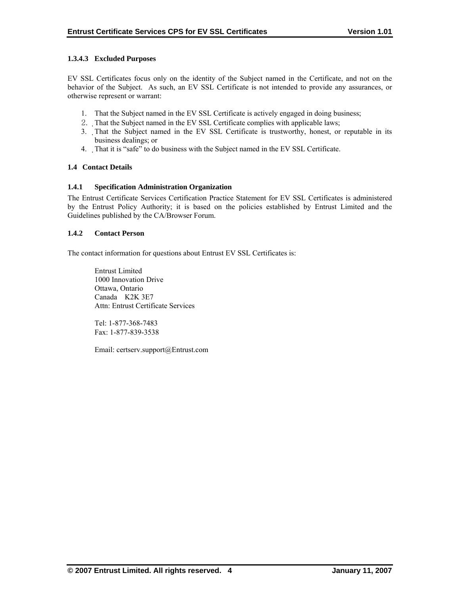# <span id="page-8-0"></span>**1.3.4.3 Excluded Purposes**

EV SSL Certificates focus only on the identity of the Subject named in the Certificate, and not on the behavior of the Subject. As such, an EV SSL Certificate is not intended to provide any assurances, or otherwise represent or warrant:

- 1. That the Subject named in the EV SSL Certificate is actively engaged in doing business;
- 2. That the Subject named in the EV SSL Certificate complies with applicable laws;
- 3. That the Subject named in the EV SSL Certificate is trustworthy, honest, or reputable in its business dealings; or
- 4. That it is "safe" to do business with the Subject named in the EV SSL Certificate.

# **1.4 Contact Details**

# **1.4.1 Specification Administration Organization**

The Entrust Certificate Services Certification Practice Statement for EV SSL Certificates is administered by the Entrust Policy Authority; it is based on the policies established by Entrust Limited and the Guidelines published by the CA/Browser Forum.

# **1.4.2 Contact Person**

The contact information for questions about Entrust EV SSL Certificates is:

 Entrust Limited 1000 Innovation Drive Ottawa, Ontario Canada K2K 3E7 Attn: Entrust Certificate Services

 Tel: 1-877-368-7483 Fax: 1-877-839-3538

Email: certserv.support@Entrust.com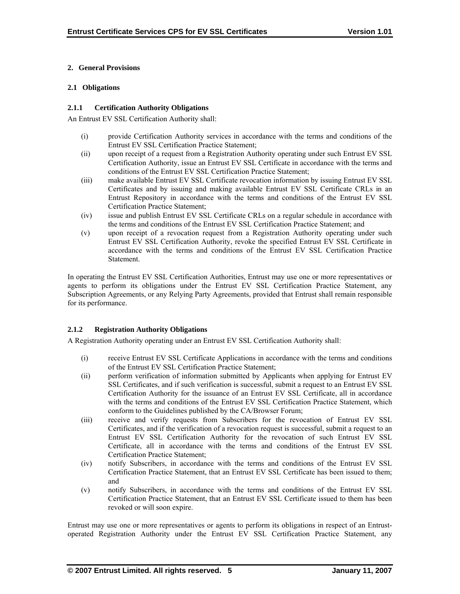# <span id="page-9-0"></span>**2. General Provisions**

#### **2.1 Obligations**

# **2.1.1 Certification Authority Obligations**

An Entrust EV SSL Certification Authority shall:

- (i) provide Certification Authority services in accordance with the terms and conditions of the Entrust EV SSL Certification Practice Statement;
- (ii) upon receipt of a request from a Registration Authority operating under such Entrust EV SSL Certification Authority, issue an Entrust EV SSL Certificate in accordance with the terms and conditions of the Entrust EV SSL Certification Practice Statement;
- (iii) make available Entrust EV SSL Certificate revocation information by issuing Entrust EV SSL Certificates and by issuing and making available Entrust EV SSL Certificate CRLs in an Entrust Repository in accordance with the terms and conditions of the Entrust EV SSL Certification Practice Statement;
- (iv) issue and publish Entrust EV SSL Certificate CRLs on a regular schedule in accordance with the terms and conditions of the Entrust EV SSL Certification Practice Statement; and
- (v) upon receipt of a revocation request from a Registration Authority operating under such Entrust EV SSL Certification Authority, revoke the specified Entrust EV SSL Certificate in accordance with the terms and conditions of the Entrust EV SSL Certification Practice **Statement**

In operating the Entrust EV SSL Certification Authorities, Entrust may use one or more representatives or agents to perform its obligations under the Entrust EV SSL Certification Practice Statement, any Subscription Agreements, or any Relying Party Agreements, provided that Entrust shall remain responsible for its performance.

# **2.1.2 Registration Authority Obligations**

A Registration Authority operating under an Entrust EV SSL Certification Authority shall:

- (i) receive Entrust EV SSL Certificate Applications in accordance with the terms and conditions of the Entrust EV SSL Certification Practice Statement;
- (ii) perform verification of information submitted by Applicants when applying for Entrust EV SSL Certificates, and if such verification is successful, submit a request to an Entrust EV SSL Certification Authority for the issuance of an Entrust EV SSL Certificate, all in accordance with the terms and conditions of the Entrust EV SSL Certification Practice Statement, which conform to the Guidelines published by the CA/Browser Forum;
- (iii) receive and verify requests from Subscribers for the revocation of Entrust EV SSL Certificates, and if the verification of a revocation request is successful, submit a request to an Entrust EV SSL Certification Authority for the revocation of such Entrust EV SSL Certificate, all in accordance with the terms and conditions of the Entrust EV SSL Certification Practice Statement;
- (iv) notify Subscribers, in accordance with the terms and conditions of the Entrust EV SSL Certification Practice Statement, that an Entrust EV SSL Certificate has been issued to them; and
- (v) notify Subscribers, in accordance with the terms and conditions of the Entrust EV SSL Certification Practice Statement, that an Entrust EV SSL Certificate issued to them has been revoked or will soon expire.

Entrust may use one or more representatives or agents to perform its obligations in respect of an Entrustoperated Registration Authority under the Entrust EV SSL Certification Practice Statement, any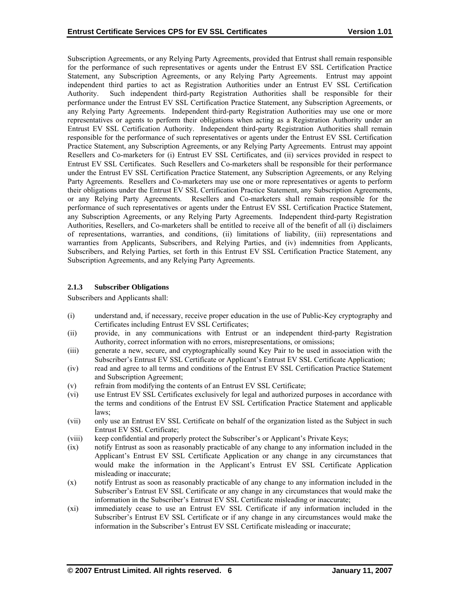<span id="page-10-0"></span>Subscription Agreements, or any Relying Party Agreements, provided that Entrust shall remain responsible for the performance of such representatives or agents under the Entrust EV SSL Certification Practice Statement, any Subscription Agreements, or any Relying Party Agreements. Entrust may appoint independent third parties to act as Registration Authorities under an Entrust EV SSL Certification Authority. Such independent third-party Registration Authorities shall be responsible for their performance under the Entrust EV SSL Certification Practice Statement, any Subscription Agreements, or any Relying Party Agreements. Independent third-party Registration Authorities may use one or more representatives or agents to perform their obligations when acting as a Registration Authority under an Entrust EV SSL Certification Authority. Independent third-party Registration Authorities shall remain responsible for the performance of such representatives or agents under the Entrust EV SSL Certification Practice Statement, any Subscription Agreements, or any Relying Party Agreements. Entrust may appoint Resellers and Co-marketers for (i) Entrust EV SSL Certificates, and (ii) services provided in respect to Entrust EV SSL Certificates. Such Resellers and Co-marketers shall be responsible for their performance under the Entrust EV SSL Certification Practice Statement, any Subscription Agreements, or any Relying Party Agreements. Resellers and Co-marketers may use one or more representatives or agents to perform their obligations under the Entrust EV SSL Certification Practice Statement, any Subscription Agreements, or any Relying Party Agreements. Resellers and Co-marketers shall remain responsible for the performance of such representatives or agents under the Entrust EV SSL Certification Practice Statement, any Subscription Agreements, or any Relying Party Agreements. Independent third-party Registration Authorities, Resellers, and Co-marketers shall be entitled to receive all of the benefit of all (i) disclaimers of representations, warranties, and conditions, (ii) limitations of liability, (iii) representations and warranties from Applicants, Subscribers, and Relying Parties, and (iv) indemnities from Applicants, Subscribers, and Relying Parties, set forth in this Entrust EV SSL Certification Practice Statement, any Subscription Agreements, and any Relying Party Agreements.

# **2.1.3 Subscriber Obligations**

Subscribers and Applicants shall:

- (i) understand and, if necessary, receive proper education in the use of Public-Key cryptography and Certificates including Entrust EV SSL Certificates;
- (ii) provide, in any communications with Entrust or an independent third-party Registration Authority, correct information with no errors, misrepresentations, or omissions;
- (iii) generate a new, secure, and cryptographically sound Key Pair to be used in association with the Subscriber's Entrust EV SSL Certificate or Applicant's Entrust EV SSL Certificate Application;
- (iv) read and agree to all terms and conditions of the Entrust EV SSL Certification Practice Statement and Subscription Agreement;
- (v) refrain from modifying the contents of an Entrust EV SSL Certificate;
- (vi) use Entrust EV SSL Certificates exclusively for legal and authorized purposes in accordance with the terms and conditions of the Entrust EV SSL Certification Practice Statement and applicable laws;
- (vii) only use an Entrust EV SSL Certificate on behalf of the organization listed as the Subject in such Entrust EV SSL Certificate;
- (viii) keep confidential and properly protect the Subscriber's or Applicant's Private Keys;
- (ix) notify Entrust as soon as reasonably practicable of any change to any information included in the Applicant's Entrust EV SSL Certificate Application or any change in any circumstances that would make the information in the Applicant's Entrust EV SSL Certificate Application misleading or inaccurate;
- (x) notify Entrust as soon as reasonably practicable of any change to any information included in the Subscriber's Entrust EV SSL Certificate or any change in any circumstances that would make the information in the Subscriber's Entrust EV SSL Certificate misleading or inaccurate;
- (xi) immediately cease to use an Entrust EV SSL Certificate if any information included in the Subscriber's Entrust EV SSL Certificate or if any change in any circumstances would make the information in the Subscriber's Entrust EV SSL Certificate misleading or inaccurate;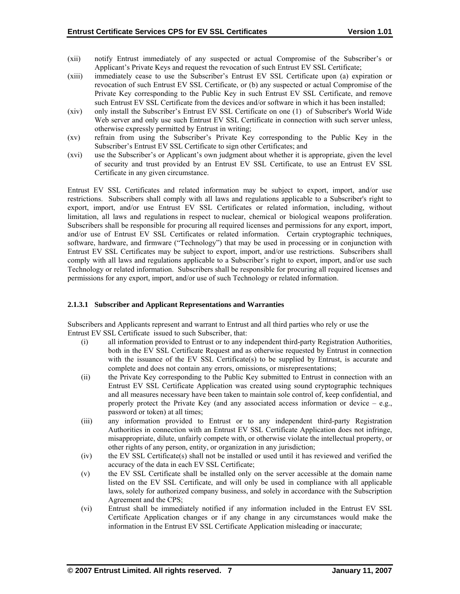- (xii) notify Entrust immediately of any suspected or actual Compromise of the Subscriber's or Applicant's Private Keys and request the revocation of such Entrust EV SSL Certificate;
- (xiii) immediately cease to use the Subscriber's Entrust EV SSL Certificate upon (a) expiration or revocation of such Entrust EV SSL Certificate, or (b) any suspected or actual Compromise of the Private Key corresponding to the Public Key in such Entrust EV SSL Certificate, and remove such Entrust EV SSL Certificate from the devices and/or software in which it has been installed;
- (xiv) only install the Subscriber's Entrust EV SSL Certificate on one (1) of Subscriber's World Wide Web server and only use such Entrust EV SSL Certificate in connection with such server unless, otherwise expressly permitted by Entrust in writing;
- (xv) refrain from using the Subscriber's Private Key corresponding to the Public Key in the Subscriber's Entrust EV SSL Certificate to sign other Certificates; and
- (xvi) use the Subscriber's or Applicant's own judgment about whether it is appropriate, given the level of security and trust provided by an Entrust EV SSL Certificate, to use an Entrust EV SSL Certificate in any given circumstance.

Entrust EV SSL Certificates and related information may be subject to export, import, and/or use restrictions. Subscribers shall comply with all laws and regulations applicable to a Subscriber's right to export, import, and/or use Entrust EV SSL Certificates or related information, including, without limitation, all laws and regulations in respect to nuclear, chemical or biological weapons proliferation. Subscribers shall be responsible for procuring all required licenses and permissions for any export, import, and/or use of Entrust EV SSL Certificates or related information. Certain cryptographic techniques, software, hardware, and firmware ("Technology") that may be used in processing or in conjunction with Entrust EV SSL Certificates may be subject to export, import, and/or use restrictions. Subscribers shall comply with all laws and regulations applicable to a Subscriber's right to export, import, and/or use such Technology or related information. Subscribers shall be responsible for procuring all required licenses and permissions for any export, import, and/or use of such Technology or related information.

#### **2.1.3.1 Subscriber and Applicant Representations and Warranties**

Subscribers and Applicants represent and warrant to Entrust and all third parties who rely or use the Entrust EV SSL Certificate issued to such Subscriber, that:

- (i) all information provided to Entrust or to any independent third-party Registration Authorities, both in the EV SSL Certificate Request and as otherwise requested by Entrust in connection with the issuance of the EV SSL Certificate(s) to be supplied by Entrust, is accurate and complete and does not contain any errors, omissions, or misrepresentations;
- (ii) the Private Key corresponding to the Public Key submitted to Entrust in connection with an Entrust EV SSL Certificate Application was created using sound cryptographic techniques and all measures necessary have been taken to maintain sole control of, keep confidential, and properly protect the Private Key (and any associated access information or device  $-$  e.g., password or token) at all times;
- (iii) any information provided to Entrust or to any independent third-party Registration Authorities in connection with an Entrust EV SSL Certificate Application does not infringe, misappropriate, dilute, unfairly compete with, or otherwise violate the intellectual property, or other rights of any person, entity, or organization in any jurisdiction;
- (iv) the EV SSL Certificate(s) shall not be installed or used until it has reviewed and verified the accuracy of the data in each EV SSL Certificate;
- (v) the EV SSL Certificate shall be installed only on the server accessible at the domain name listed on the EV SSL Certificate, and will only be used in compliance with all applicable laws, solely for authorized company business, and solely in accordance with the Subscription Agreement and the CPS;
- (vi) Entrust shall be immediately notified if any information included in the Entrust EV SSL Certificate Application changes or if any change in any circumstances would make the information in the Entrust EV SSL Certificate Application misleading or inaccurate;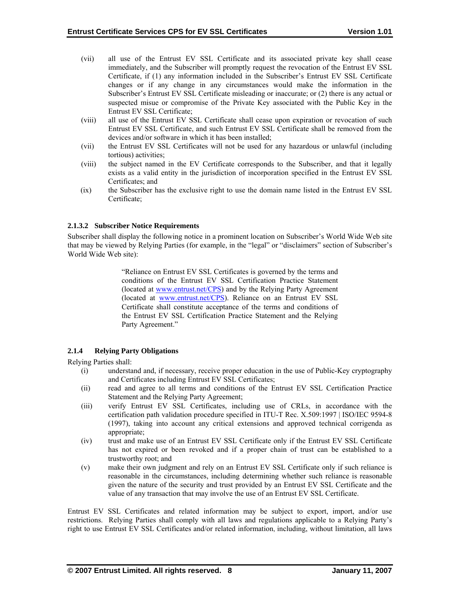- <span id="page-12-0"></span>(vii) all use of the Entrust EV SSL Certificate and its associated private key shall cease immediately, and the Subscriber will promptly request the revocation of the Entrust EV SSL Certificate, if (1) any information included in the Subscriber's Entrust EV SSL Certificate changes or if any change in any circumstances would make the information in the Subscriber's Entrust EV SSL Certificate misleading or inaccurate; or (2) there is any actual or suspected misue or compromise of the Private Key associated with the Public Key in the Entrust EV SSL Certificate;
- (viii) all use of the Entrust EV SSL Certificate shall cease upon expiration or revocation of such Entrust EV SSL Certificate, and such Entrust EV SSL Certificate shall be removed from the devices and/or software in which it has been installed;
- (vii) the Entrust EV SSL Certificates will not be used for any hazardous or unlawful (including tortious) activities;
- (viii) the subject named in the EV Certificate corresponds to the Subscriber, and that it legally exists as a valid entity in the jurisdiction of incorporation specified in the Entrust EV SSL Certificates; and
- (ix) the Subscriber has the exclusive right to use the domain name listed in the Entrust EV SSL Certificate;

# **2.1.3.2 Subscriber Notice Requirements**

Subscriber shall display the following notice in a prominent location on Subscriber's World Wide Web site that may be viewed by Relying Parties (for example, in the "legal" or "disclaimers" section of Subscriber's World Wide Web site):

> "Reliance on Entrust EV SSL Certificates is governed by the terms and conditions of the Entrust EV SSL Certification Practice Statement (located at [www.entrust.net/CPS\)](http://www.entrust.net/CPS) and by the Relying Party Agreement (located at [www.entrust.net/CPS\)](http://www.entrust.net/CPS). Reliance on an Entrust EV SSL Certificate shall constitute acceptance of the terms and conditions of the Entrust EV SSL Certification Practice Statement and the Relying Party Agreement."

# **2.1.4 Relying Party Obligations**

Relying Parties shall:

- (i) understand and, if necessary, receive proper education in the use of Public-Key cryptography and Certificates including Entrust EV SSL Certificates;
- (ii) read and agree to all terms and conditions of the Entrust EV SSL Certification Practice Statement and the Relying Party Agreement;
- (iii) verify Entrust EV SSL Certificates, including use of CRLs, in accordance with the certification path validation procedure specified in ITU-T Rec. X.509:1997 | ISO/IEC 9594-8 (1997), taking into account any critical extensions and approved technical corrigenda as appropriate;
- (iv) trust and make use of an Entrust EV SSL Certificate only if the Entrust EV SSL Certificate has not expired or been revoked and if a proper chain of trust can be established to a trustworthy root; and
- (v) make their own judgment and rely on an Entrust EV SSL Certificate only if such reliance is reasonable in the circumstances, including determining whether such reliance is reasonable given the nature of the security and trust provided by an Entrust EV SSL Certificate and the value of any transaction that may involve the use of an Entrust EV SSL Certificate.

Entrust EV SSL Certificates and related information may be subject to export, import, and/or use restrictions. Relying Parties shall comply with all laws and regulations applicable to a Relying Party's right to use Entrust EV SSL Certificates and/or related information, including, without limitation, all laws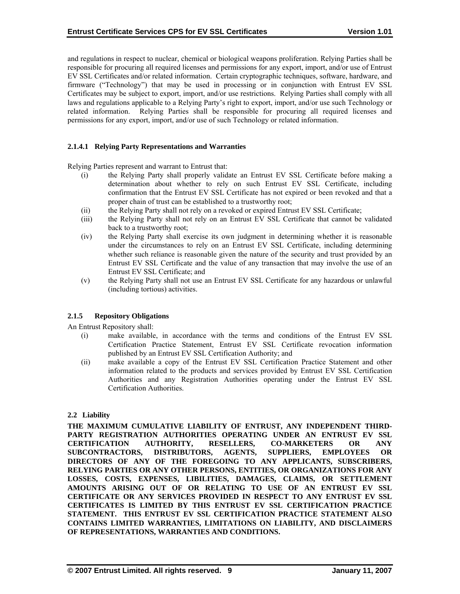<span id="page-13-0"></span>and regulations in respect to nuclear, chemical or biological weapons proliferation. Relying Parties shall be responsible for procuring all required licenses and permissions for any export, import, and/or use of Entrust EV SSL Certificates and/or related information. Certain cryptographic techniques, software, hardware, and firmware ("Technology") that may be used in processing or in conjunction with Entrust EV SSL Certificates may be subject to export, import, and/or use restrictions. Relying Parties shall comply with all laws and regulations applicable to a Relying Party's right to export, import, and/or use such Technology or related information. Relying Parties shall be responsible for procuring all required licenses and permissions for any export, import, and/or use of such Technology or related information.

#### **2.1.4.1 Relying Party Representations and Warranties**

Relying Parties represent and warrant to Entrust that:

- (i) the Relying Party shall properly validate an Entrust EV SSL Certificate before making a determination about whether to rely on such Entrust EV SSL Certificate, including confirmation that the Entrust EV SSL Certificate has not expired or been revoked and that a proper chain of trust can be established to a trustworthy root;
- (ii) the Relying Party shall not rely on a revoked or expired Entrust EV SSL Certificate;
- (iii) the Relying Party shall not rely on an Entrust EV SSL Certificate that cannot be validated back to a trustworthy root;
- (iv) the Relying Party shall exercise its own judgment in determining whether it is reasonable under the circumstances to rely on an Entrust EV SSL Certificate, including determining whether such reliance is reasonable given the nature of the security and trust provided by an Entrust EV SSL Certificate and the value of any transaction that may involve the use of an Entrust EV SSL Certificate; and
- (v) the Relying Party shall not use an Entrust EV SSL Certificate for any hazardous or unlawful (including tortious) activities.

#### **2.1.5 Repository Obligations**

An Entrust Repository shall:

- (i) make available, in accordance with the terms and conditions of the Entrust EV SSL Certification Practice Statement, Entrust EV SSL Certificate revocation information published by an Entrust EV SSL Certification Authority; and
- (ii) make available a copy of the Entrust EV SSL Certification Practice Statement and other information related to the products and services provided by Entrust EV SSL Certification Authorities and any Registration Authorities operating under the Entrust EV SSL Certification Authorities.

#### **2.2 Liability**

**THE MAXIMUM CUMULATIVE LIABILITY OF ENTRUST, ANY INDEPENDENT THIRD-PARTY REGISTRATION AUTHORITIES OPERATING UNDER AN ENTRUST EV SSL CERTIFICATION AUTHORITY, RESELLERS, CO-MARKETERS OR ANY SUBCONTRACTORS, DISTRIBUTORS, AGENTS, SUPPLIERS, EMPLOYEES OR DIRECTORS OF ANY OF THE FOREGOING TO ANY APPLICANTS, SUBSCRIBERS, RELYING PARTIES OR ANY OTHER PERSONS, ENTITIES, OR ORGANIZATIONS FOR ANY LOSSES, COSTS, EXPENSES, LIBILITIES, DAMAGES, CLAIMS, OR SETTLEMENT AMOUNTS ARISING OUT OF OR RELATING TO USE OF AN ENTRUST EV SSL CERTIFICATE OR ANY SERVICES PROVIDED IN RESPECT TO ANY ENTRUST EV SSL CERTIFICATES IS LIMITED BY THIS ENTRUST EV SSL CERTIFICATION PRACTICE STATEMENT. THIS ENTRUST EV SSL CERTIFICATION PRACTICE STATEMENT ALSO CONTAINS LIMITED WARRANTIES, LIMITATIONS ON LIABILITY, AND DISCLAIMERS OF REPRESENTATIONS, WARRANTIES AND CONDITIONS.**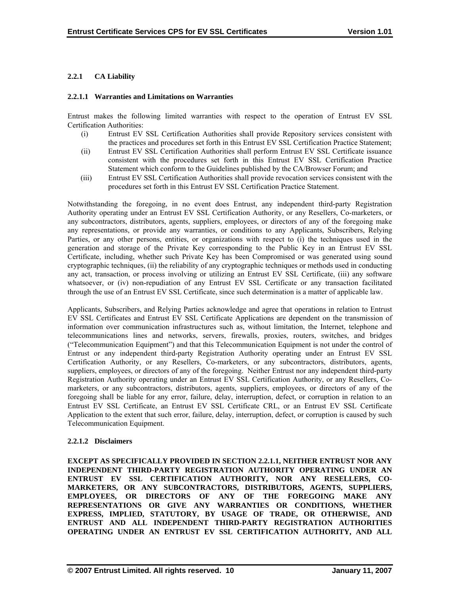# <span id="page-14-0"></span>**2.2.1 CA Liability**

#### **2.2.1.1 Warranties and Limitations on Warranties**

Entrust makes the following limited warranties with respect to the operation of Entrust EV SSL Certification Authorities:

- (i) Entrust EV SSL Certification Authorities shall provide Repository services consistent with the practices and procedures set forth in this Entrust EV SSL Certification Practice Statement;
- (ii) Entrust EV SSL Certification Authorities shall perform Entrust EV SSL Certificate issuance consistent with the procedures set forth in this Entrust EV SSL Certification Practice Statement which conform to the Guidelines published by the CA/Browser Forum; and
- (iii) Entrust EV SSL Certification Authorities shall provide revocation services consistent with the procedures set forth in this Entrust EV SSL Certification Practice Statement.

Notwithstanding the foregoing, in no event does Entrust, any independent third-party Registration Authority operating under an Entrust EV SSL Certification Authority, or any Resellers, Co-marketers, or any subcontractors, distributors, agents, suppliers, employees, or directors of any of the foregoing make any representations, or provide any warranties, or conditions to any Applicants, Subscribers, Relying Parties, or any other persons, entities, or organizations with respect to (i) the techniques used in the generation and storage of the Private Key corresponding to the Public Key in an Entrust EV SSL Certificate, including, whether such Private Key has been Compromised or was generated using sound cryptographic techniques, (ii) the reliability of any cryptographic techniques or methods used in conducting any act, transaction, or process involving or utilizing an Entrust EV SSL Certificate, (iii) any software whatsoever, or (iv) non-repudiation of any Entrust EV SSL Certificate or any transaction facilitated through the use of an Entrust EV SSL Certificate, since such determination is a matter of applicable law.

Applicants, Subscribers, and Relying Parties acknowledge and agree that operations in relation to Entrust EV SSL Certificates and Entrust EV SSL Certificate Applications are dependent on the transmission of information over communication infrastructures such as, without limitation, the Internet, telephone and telecommunications lines and networks, servers, firewalls, proxies, routers, switches, and bridges ("Telecommunication Equipment") and that this Telecommunication Equipment is not under the control of Entrust or any independent third-party Registration Authority operating under an Entrust EV SSL Certification Authority, or any Resellers, Co-marketers, or any subcontractors, distributors, agents, suppliers, employees, or directors of any of the foregoing. Neither Entrust nor any independent third-party Registration Authority operating under an Entrust EV SSL Certification Authority, or any Resellers, Comarketers, or any subcontractors, distributors, agents, suppliers, employees, or directors of any of the foregoing shall be liable for any error, failure, delay, interruption, defect, or corruption in relation to an Entrust EV SSL Certificate, an Entrust EV SSL Certificate CRL, or an Entrust EV SSL Certificate Application to the extent that such error, failure, delay, interruption, defect, or corruption is caused by such Telecommunication Equipment.

#### **2.2.1.2 Disclaimers**

**EXCEPT AS SPECIFICALLY PROVIDED IN SECTION 2.2.1.1, NEITHER ENTRUST NOR ANY INDEPENDENT THIRD-PARTY REGISTRATION AUTHORITY OPERATING UNDER AN ENTRUST EV SSL CERTIFICATION AUTHORITY, NOR ANY RESELLERS, CO-MARKETERS, OR ANY SUBCONTRACTORS, DISTRIBUTORS, AGENTS, SUPPLIERS, EMPLOYEES, OR DIRECTORS OF ANY OF THE FOREGOING MAKE ANY REPRESENTATIONS OR GIVE ANY WARRANTIES OR CONDITIONS, WHETHER EXPRESS, IMPLIED, STATUTORY, BY USAGE OF TRADE, OR OTHERWISE, AND ENTRUST AND ALL INDEPENDENT THIRD-PARTY REGISTRATION AUTHORITIES OPERATING UNDER AN ENTRUST EV SSL CERTIFICATION AUTHORITY, AND ALL**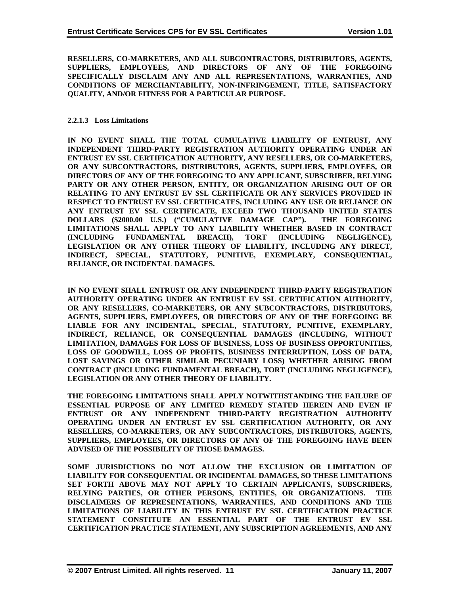**RESELLERS, CO-MARKETERS, AND ALL SUBCONTRACTORS, DISTRIBUTORS, AGENTS, SUPPLIERS, EMPLOYEES, AND DIRECTORS OF ANY OF THE FOREGOING SPECIFICALLY DISCLAIM ANY AND ALL REPRESENTATIONS, WARRANTIES, AND CONDITIONS OF MERCHANTABILITY, NON-INFRINGEMENT, TITLE, SATISFACTORY QUALITY, AND/OR FITNESS FOR A PARTICULAR PURPOSE.** 

#### **2.2.1.3 Loss Limitations**

**IN NO EVENT SHALL THE TOTAL CUMULATIVE LIABILITY OF ENTRUST, ANY INDEPENDENT THIRD-PARTY REGISTRATION AUTHORITY OPERATING UNDER AN ENTRUST EV SSL CERTIFICATION AUTHORITY, ANY RESELLERS, OR CO-MARKETERS, OR ANY SUBCONTRACTORS, DISTRIBUTORS, AGENTS, SUPPLIERS, EMPLOYEES, OR DIRECTORS OF ANY OF THE FOREGOING TO ANY APPLICANT, SUBSCRIBER, RELYING PARTY OR ANY OTHER PERSON, ENTITY, OR ORGANIZATION ARISING OUT OF OR RELATING TO ANY ENTRUST EV SSL CERTIFICATE OR ANY SERVICES PROVIDED IN RESPECT TO ENTRUST EV SSL CERTIFICATES, INCLUDING ANY USE OR RELIANCE ON ANY ENTRUST EV SSL CERTIFICATE, EXCEED TWO THOUSAND UNITED STATES DOLLARS (\$2000.00 U.S.) ("CUMULATIVE DAMAGE CAP"). THE FOREGOING LIMITATIONS SHALL APPLY TO ANY LIABILITY WHETHER BASED IN CONTRACT (INCLUDING FUNDAMENTAL BREACH), TORT (INCLUDING NEGLIGENCE), LEGISLATION OR ANY OTHER THEORY OF LIABILITY, INCLUDING ANY DIRECT, INDIRECT, SPECIAL, STATUTORY, PUNITIVE, EXEMPLARY, CONSEQUENTIAL, RELIANCE, OR INCIDENTAL DAMAGES.** 

**IN NO EVENT SHALL ENTRUST OR ANY INDEPENDENT THIRD-PARTY REGISTRATION AUTHORITY OPERATING UNDER AN ENTRUST EV SSL CERTIFICATION AUTHORITY, OR ANY RESELLERS, CO-MARKETERS, OR ANY SUBCONTRACTORS, DISTRIBUTORS, AGENTS, SUPPLIERS, EMPLOYEES, OR DIRECTORS OF ANY OF THE FOREGOING BE LIABLE FOR ANY INCIDENTAL, SPECIAL, STATUTORY, PUNITIVE, EXEMPLARY, INDIRECT, RELIANCE, OR CONSEQUENTIAL DAMAGES (INCLUDING, WITHOUT LIMITATION, DAMAGES FOR LOSS OF BUSINESS, LOSS OF BUSINESS OPPORTUNITIES, LOSS OF GOODWILL, LOSS OF PROFITS, BUSINESS INTERRUPTION, LOSS OF DATA, LOST SAVINGS OR OTHER SIMILAR PECUNIARY LOSS) WHETHER ARISING FROM CONTRACT (INCLUDING FUNDAMENTAL BREACH), TORT (INCLUDING NEGLIGENCE), LEGISLATION OR ANY OTHER THEORY OF LIABILITY.** 

**THE FOREGOING LIMITATIONS SHALL APPLY NOTWITHSTANDING THE FAILURE OF ESSENTIAL PURPOSE OF ANY LIMITED REMEDY STATED HEREIN AND EVEN IF ENTRUST OR ANY INDEPENDENT THIRD-PARTY REGISTRATION AUTHORITY OPERATING UNDER AN ENTRUST EV SSL CERTIFICATION AUTHORITY, OR ANY RESELLERS, CO-MARKETERS, OR ANY SUBCONTRACTORS, DISTRIBUTORS, AGENTS, SUPPLIERS, EMPLOYEES, OR DIRECTORS OF ANY OF THE FOREGOING HAVE BEEN ADVISED OF THE POSSIBILITY OF THOSE DAMAGES.** 

**SOME JURISDICTIONS DO NOT ALLOW THE EXCLUSION OR LIMITATION OF LIABILITY FOR CONSEQUENTIAL OR INCIDENTAL DAMAGES, SO THESE LIMITATIONS SET FORTH ABOVE MAY NOT APPLY TO CERTAIN APPLICANTS, SUBSCRIBERS, RELYING PARTIES, OR OTHER PERSONS, ENTITIES, OR ORGANIZATIONS. THE DISCLAIMERS OF REPRESENTATIONS, WARRANTIES, AND CONDITIONS AND THE LIMITATIONS OF LIABILITY IN THIS ENTRUST EV SSL CERTIFICATION PRACTICE STATEMENT CONSTITUTE AN ESSENTIAL PART OF THE ENTRUST EV SSL CERTIFICATION PRACTICE STATEMENT, ANY SUBSCRIPTION AGREEMENTS, AND ANY**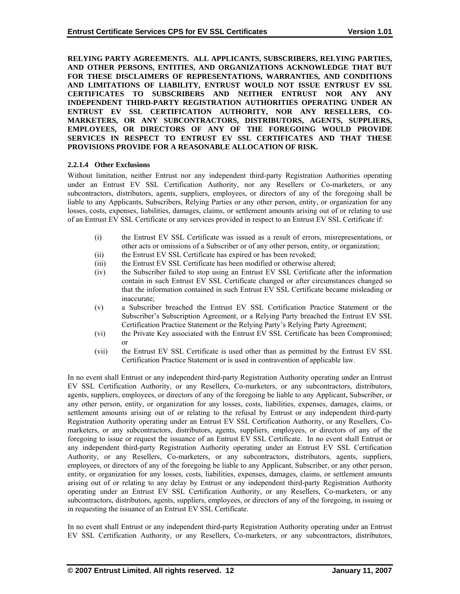**RELYING PARTY AGREEMENTS. ALL APPLICANTS, SUBSCRIBERS, RELYING PARTIES, AND OTHER PERSONS, ENTITIES, AND ORGANIZATIONS ACKNOWLEDGE THAT BUT FOR THESE DISCLAIMERS OF REPRESENTATIONS, WARRANTIES, AND CONDITIONS AND LIMITATIONS OF LIABILITY, ENTRUST WOULD NOT ISSUE ENTRUST EV SSL CERTIFICATES TO SUBSCRIBERS AND NEITHER ENTRUST NOR ANY ANY INDEPENDENT THIRD-PARTY REGISTRATION AUTHORITIES OPERATING UNDER AN ENTRUST EV SSL CERTIFICATION AUTHORITY, NOR ANY RESELLERS, CO-MARKETERS, OR ANY SUBCONTRACTORS, DISTRIBUTORS, AGENTS, SUPPLIERS, EMPLOYEES, OR DIRECTORS OF ANY OF THE FOREGOING WOULD PROVIDE SERVICES IN RESPECT TO ENTRUST EV SSL CERTIFICATES AND THAT THESE PROVISIONS PROVIDE FOR A REASONABLE ALLOCATION OF RISK.** 

#### **2.2.1.4 Other Exclusions**

Without limitation, neither Entrust nor any independent third-party Registration Authorities operating under an Entrust EV SSL Certification Authority, nor any Resellers or Co-marketers, or any subcontractors, distributors, agents, suppliers, employees, or directors of any of the foregoing shall be liable to any Applicants, Subscribers, Relying Parties or any other person, entity, or organization for any losses, costs, expenses, liabilities, damages, claims, or settlement amounts arising out of or relating to use of an Entrust EV SSL Certificate or any services provided in respect to an Entrust EV SSL Certificate if:

- (i) the Entrust EV SSL Certificate was issued as a result of errors, misrepresentations, or other acts or omissions of a Subscriber or of any other person, entity, or organization;
- (ii) the Entrust EV SSL Certificate has expired or has been revoked;
- (iii) the Entrust EV SSL Certificate has been modified or otherwise altered;
- (iv) the Subscriber failed to stop using an Entrust EV SSL Certificate after the information contain in such Entrust EV SSL Certificate changed or after circumstances changed so that the information contained in such Entrust EV SSL Certificate became misleading or inaccurate;
- (v) a Subscriber breached the Entrust EV SSL Certification Practice Statement or the Subscriber's Subscription Agreement, or a Relying Party breached the Entrust EV SSL Certification Practice Statement or the Relying Party's Relying Party Agreement;
- (vi) the Private Key associated with the Entrust EV SSL Certificate has been Compromised; or
- (vii) the Entrust EV SSL Certificate is used other than as permitted by the Entrust EV SSL Certification Practice Statement or is used in contravention of applicable law.

In no event shall Entrust or any independent third-party Registration Authority operating under an Entrust EV SSL Certification Authority, or any Resellers, Co-marketers, or any subcontractors, distributors, agents, suppliers, employees, or directors of any of the foregoing be liable to any Applicant, Subscriber, or any other person, entity, or organization for any losses, costs, liabilities, expenses, damages, claims, or settlement amounts arising out of or relating to the refusal by Entrust or any independent third-party Registration Authority operating under an Entrust EV SSL Certification Authority, or any Resellers, Comarketers, or any subcontractors, distributors, agents, suppliers, employees, or directors of any of the foregoing to issue or request the issuance of an Entrust EV SSL Certificate. In no event shall Entrust or any independent third-party Registration Authority operating under an Entrust EV SSL Certification Authority, or any Resellers, Co-marketers, or any subcontractors, distributors, agents, suppliers, employees, or directors of any of the foregoing be liable to any Applicant, Subscriber, or any other person, entity, or organization for any losses, costs, liabilities, expenses, damages, claims, or settlement amounts arising out of or relating to any delay by Entrust or any independent third-party Registration Authority operating under an Entrust EV SSL Certification Authority, or any Resellers, Co-marketers, or any subcontractors, distributors, agents, suppliers, employees, or directors of any of the foregoing, in issuing or in requesting the issuance of an Entrust EV SSL Certificate.

In no event shall Entrust or any independent third-party Registration Authority operating under an Entrust EV SSL Certification Authority, or any Resellers, Co-marketers, or any subcontractors, distributors,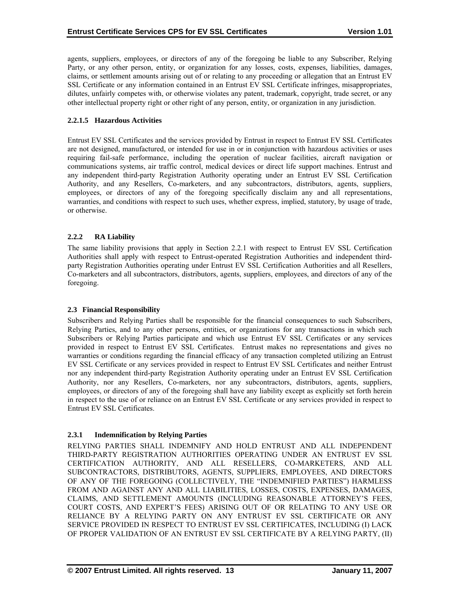<span id="page-17-0"></span>agents, suppliers, employees, or directors of any of the foregoing be liable to any Subscriber, Relying Party, or any other person, entity, or organization for any losses, costs, expenses, liabilities, damages, claims, or settlement amounts arising out of or relating to any proceeding or allegation that an Entrust EV SSL Certificate or any information contained in an Entrust EV SSL Certificate infringes, misappropriates, dilutes, unfairly competes with, or otherwise violates any patent, trademark, copyright, trade secret, or any other intellectual property right or other right of any person, entity, or organization in any jurisdiction.

# **2.2.1.5 Hazardous Activities**

Entrust EV SSL Certificates and the services provided by Entrust in respect to Entrust EV SSL Certificates are not designed, manufactured, or intended for use in or in conjunction with hazardous activities or uses requiring fail-safe performance, including the operation of nuclear facilities, aircraft navigation or communications systems, air traffic control, medical devices or direct life support machines. Entrust and any independent third-party Registration Authority operating under an Entrust EV SSL Certification Authority, and any Resellers, Co-marketers, and any subcontractors, distributors, agents, suppliers, employees, or directors of any of the foregoing specifically disclaim any and all representations, warranties, and conditions with respect to such uses, whether express, implied, statutory, by usage of trade, or otherwise.

# **2.2.2 RA Liability**

The same liability provisions that apply in Section 2.2.1 with respect to Entrust EV SSL Certification Authorities shall apply with respect to Entrust-operated Registration Authorities and independent thirdparty Registration Authorities operating under Entrust EV SSL Certification Authorities and all Resellers, Co-marketers and all subcontractors, distributors, agents, suppliers, employees, and directors of any of the foregoing.

#### **2.3 Financial Responsibility**

Subscribers and Relying Parties shall be responsible for the financial consequences to such Subscribers, Relying Parties, and to any other persons, entities, or organizations for any transactions in which such Subscribers or Relying Parties participate and which use Entrust EV SSL Certificates or any services provided in respect to Entrust EV SSL Certificates. Entrust makes no representations and gives no warranties or conditions regarding the financial efficacy of any transaction completed utilizing an Entrust EV SSL Certificate or any services provided in respect to Entrust EV SSL Certificates and neither Entrust nor any independent third-party Registration Authority operating under an Entrust EV SSL Certification Authority, nor any Resellers, Co-marketers, nor any subcontractors, distributors, agents, suppliers, employees, or directors of any of the foregoing shall have any liability except as explicitly set forth herein in respect to the use of or reliance on an Entrust EV SSL Certificate or any services provided in respect to Entrust EV SSL Certificates.

# **2.3.1 Indemnification by Relying Parties**

RELYING PARTIES SHALL INDEMNIFY AND HOLD ENTRUST AND ALL INDEPENDENT THIRD-PARTY REGISTRATION AUTHORITIES OPERATING UNDER AN ENTRUST EV SSL CERTIFICATION AUTHORITY, AND ALL RESELLERS, CO-MARKETERS, AND ALL SUBCONTRACTORS, DISTRIBUTORS, AGENTS, SUPPLIERS, EMPLOYEES, AND DIRECTORS OF ANY OF THE FOREGOING (COLLECTIVELY, THE "INDEMNIFIED PARTIES") HARMLESS FROM AND AGAINST ANY AND ALL LIABILITIES, LOSSES, COSTS, EXPENSES, DAMAGES, CLAIMS, AND SETTLEMENT AMOUNTS (INCLUDING REASONABLE ATTORNEY'S FEES, COURT COSTS, AND EXPERT'S FEES) ARISING OUT OF OR RELATING TO ANY USE OR RELIANCE BY A RELYING PARTY ON ANY ENTRUST EV SSL CERTIFICATE OR ANY SERVICE PROVIDED IN RESPECT TO ENTRUST EV SSL CERTIFICATES, INCLUDING (I) LACK OF PROPER VALIDATION OF AN ENTRUST EV SSL CERTIFICATE BY A RELYING PARTY, (II)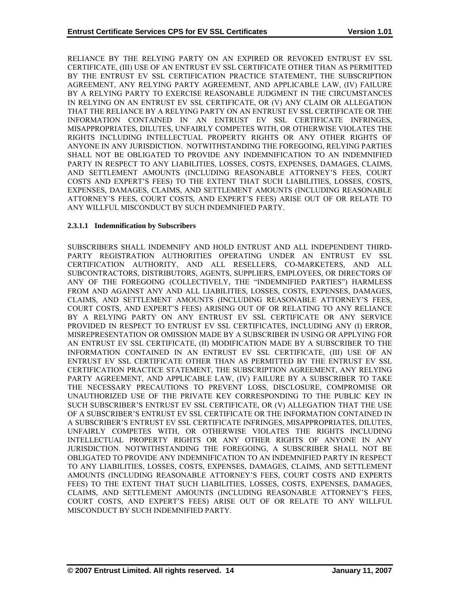RELIANCE BY THE RELYING PARTY ON AN EXPIRED OR REVOKED ENTRUST EV SSL CERTIFICATE, (III) USE OF AN ENTRUST EV SSL CERTIFICATE OTHER THAN AS PERMITTED BY THE ENTRUST EV SSL CERTIFICATION PRACTICE STATEMENT, THE SUBSCRIPTION AGREEMENT, ANY RELYING PARTY AGREEMENT, AND APPLICABLE LAW, (IV) FAILURE BY A RELYING PARTY TO EXERCISE REASONABLE JUDGMENT IN THE CIRCUMSTANCES IN RELYING ON AN ENTRUST EV SSL CERTIFICATE, OR (V) ANY CLAIM OR ALLEGATION THAT THE RELIANCE BY A RELYING PARTY ON AN ENTRUST EV SSL CERTIFICATE OR THE INFORMATION CONTAINED IN AN ENTRUST EV SSL CERTIFICATE INFRINGES, MISAPPROPRIATES, DILUTES, UNFAIRLY COMPETES WITH, OR OTHERWISE VIOLATES THE RIGHTS INCLUDING INTELLECTUAL PROPERTY RIGHTS OR ANY OTHER RIGHTS OF ANYONE IN ANY JURISDICTION. NOTWITHSTANDING THE FOREGOING, RELYING PARTIES SHALL NOT BE OBLIGATED TO PROVIDE ANY INDEMNIFICATION TO AN INDEMNIFIED PARTY IN RESPECT TO ANY LIABILITIES, LOSSES, COSTS, EXPENSES, DAMAGES, CLAIMS, AND SETTLEMENT AMOUNTS (INCLUDING REASONABLE ATTORNEY'S FEES, COURT COSTS AND EXPERT'S FEES) TO THE EXTENT THAT SUCH LIABILITIES, LOSSES, COSTS, EXPENSES, DAMAGES, CLAIMS, AND SETTLEMENT AMOUNTS (INCLUDING REASONABLE ATTORNEY'S FEES, COURT COSTS, AND EXPERT'S FEES) ARISE OUT OF OR RELATE TO ANY WILLFUL MISCONDUCT BY SUCH INDEMNIFIED PARTY.

#### **2.3.1.1 Indemnification by Subscribers**

SUBSCRIBERS SHALL INDEMNIFY AND HOLD ENTRUST AND ALL INDEPENDENT THIRD-PARTY REGISTRATION AUTHORITIES OPERATING UNDER AN ENTRUST EV SSL CERTIFICATION AUTHORITY, AND ALL RESELLERS, CO-MARKETERS, AND ALL SUBCONTRACTORS, DISTRIBUTORS, AGENTS, SUPPLIERS, EMPLOYEES, OR DIRECTORS OF ANY OF THE FOREGOING (COLLECTIVELY, THE "INDEMNIFIED PARTIES") HARMLESS FROM AND AGAINST ANY AND ALL LIABILITIES, LOSSES, COSTS, EXPENSES, DAMAGES, CLAIMS, AND SETTLEMENT AMOUNTS (INCLUDING REASONABLE ATTORNEY'S FEES, COURT COSTS, AND EXPERT'S FEES) ARISING OUT OF OR RELATING TO ANY RELIANCE BY A RELYING PARTY ON ANY ENTRUST EV SSL CERTIFICATE OR ANY SERVICE PROVIDED IN RESPECT TO ENTRUST EV SSL CERTIFICATES, INCLUDING ANY (I) ERROR, MISREPRESENTATION OR OMISSION MADE BY A SUBSCRIBER IN USING OR APPLYING FOR AN ENTRUST EV SSL CERTIFICATE, (II) MODIFICATION MADE BY A SUBSCRIBER TO THE INFORMATION CONTAINED IN AN ENTRUST EV SSL CERTIFICATE, (III) USE OF AN ENTRUST EV SSL CERTIFICATE OTHER THAN AS PERMITTED BY THE ENTRUST EV SSL CERTIFICATION PRACTICE STATEMENT, THE SUBSCRIPTION AGREEMENT, ANY RELYING PARTY AGREEMENT, AND APPLICABLE LAW, (IV) FAILURE BY A SUBSCRIBER TO TAKE THE NECESSARY PRECAUTIONS TO PREVENT LOSS, DISCLOSURE, COMPROMISE OR UNAUTHORIZED USE OF THE PRIVATE KEY CORRESPONDING TO THE PUBLIC KEY IN SUCH SUBSCRIBER'S ENTRUST EV SSL CERTIFICATE, OR (V) ALLEGATION THAT THE USE OF A SUBSCRIBER'S ENTRUST EV SSL CERTIFICATE OR THE INFORMATION CONTAINED IN A SUBSCRIBER'S ENTRUST EV SSL CERTIFICATE INFRINGES, MISAPPROPRIATES, DILUTES, UNFAIRLY COMPETES WITH, OR OTHERWISE VIOLATES THE RIGHTS INCLUDING INTELLECTUAL PROPERTY RIGHTS OR ANY OTHER RIGHTS OF ANYONE IN ANY JURISDICTION. NOTWITHSTANDING THE FOREGOING, A SUBSCRIBER SHALL NOT BE OBLIGATED TO PROVIDE ANY INDEMNIFICATION TO AN INDEMNIFIED PARTY IN RESPECT TO ANY LIABILITIES, LOSSES, COSTS, EXPENSES, DAMAGES, CLAIMS, AND SETTLEMENT AMOUNTS (INCLUDING REASONABLE ATTORNEY'S FEES, COURT COSTS AND EXPERTS FEES) TO THE EXTENT THAT SUCH LIABILITIES, LOSSES, COSTS, EXPENSES, DAMAGES, CLAIMS, AND SETTLEMENT AMOUNTS (INCLUDING REASONABLE ATTORNEY'S FEES, COURT COSTS, AND EXPERT'S FEES) ARISE OUT OF OR RELATE TO ANY WILLFUL MISCONDUCT BY SUCH INDEMNIFIED PARTY.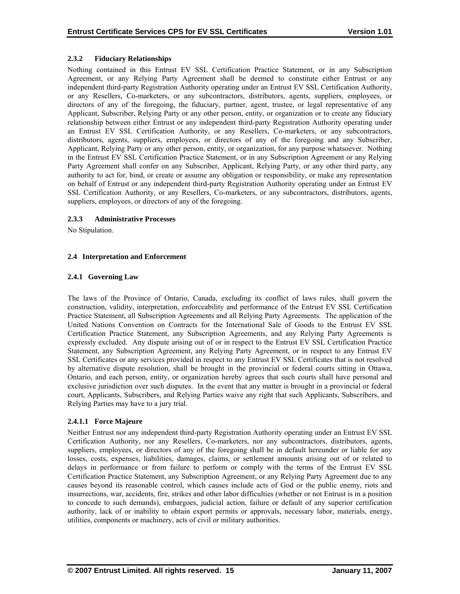# <span id="page-19-0"></span>**2.3.2 Fiduciary Relationships**

Nothing contained in this Entrust EV SSL Certification Practice Statement, or in any Subscription Agreement, or any Relying Party Agreement shall be deemed to constitute either Entrust or any independent third-party Registration Authority operating under an Entrust EV SSL Certification Authority, or any Resellers, Co-marketers, or any subcontractors, distributors, agents, suppliers, employees, or directors of any of the foregoing, the fiduciary, partner, agent, trustee, or legal representative of any Applicant, Subscriber, Relying Party or any other person, entity, or organization or to create any fiduciary relationship between either Entrust or any independent third-party Registration Authority operating under an Entrust EV SSL Certification Authority, or any Resellers, Co-marketers, or any subcontractors, distributors, agents, suppliers, employees, or directors of any of the foregoing and any Subscriber, Applicant, Relying Party or any other person, entity, or organization, for any purpose whatsoever. Nothing in the Entrust EV SSL Certification Practice Statement, or in any Subscription Agreement or any Relying Party Agreement shall confer on any Subscriber, Applicant, Relying Party, or any other third party, any authority to act for, bind, or create or assume any obligation or responsibility, or make any representation on behalf of Entrust or any independent third-party Registration Authority operating under an Entrust EV SSL Certification Authority, or any Resellers, Co-marketers, or any subcontractors, distributors, agents, suppliers, employees, or directors of any of the foregoing.

# **2.3.3 Administrative Processes**

No Stipulation.

# **2.4 Interpretation and Enforcement**

# **2.4.1 Governing Law**

The laws of the Province of Ontario, Canada, excluding its conflict of laws rules, shall govern the construction, validity, interpretation, enforceability and performance of the Entrust EV SSL Certification Practice Statement, all Subscription Agreements and all Relying Party Agreements. The application of the United Nations Convention on Contracts for the International Sale of Goods to the Entrust EV SSL Certification Practice Statement, any Subscription Agreements, and any Relying Party Agreements is expressly excluded. Any dispute arising out of or in respect to the Entrust EV SSL Certification Practice Statement, any Subscription Agreement, any Relying Party Agreement, or in respect to any Entrust EV SSL Certificates or any services provided in respect to any Entrust EV SSL Certificates that is not resolved by alternative dispute resolution, shall be brought in the provincial or federal courts sitting in Ottawa, Ontario, and each person, entity, or organization hereby agrees that such courts shall have personal and exclusive jurisdiction over such disputes. In the event that any matter is brought in a provincial or federal court, Applicants, Subscribers, and Relying Parties waive any right that such Applicants, Subscribers, and Relying Parties may have to a jury trial.

# **2.4.1.1 Force Majeure**

Neither Entrust nor any independent third-party Registration Authority operating under an Entrust EV SSL Certification Authority, nor any Resellers, Co-marketers, nor any subcontractors, distributors, agents, suppliers, employees, or directors of any of the foregoing shall be in default hereunder or liable for any losses, costs, expenses, liabilities, damages, claims, or settlement amounts arising out of or related to delays in performance or from failure to perform or comply with the terms of the Entrust EV SSL Certification Practice Statement, any Subscription Agreement, or any Relying Party Agreement due to any causes beyond its reasonable control, which causes include acts of God or the public enemy, riots and insurrections, war, accidents, fire, strikes and other labor difficulties (whether or not Entrust is in a position to concede to such demands), embargoes, judicial action, failure or default of any superior certification authority, lack of or inability to obtain export permits or approvals, necessary labor, materials, energy, utilities, components or machinery, acts of civil or military authorities.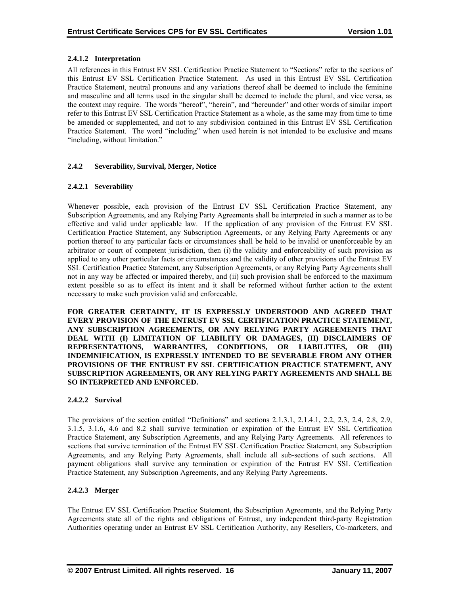# <span id="page-20-0"></span>**2.4.1.2 Interpretation**

All references in this Entrust EV SSL Certification Practice Statement to "Sections" refer to the sections of this Entrust EV SSL Certification Practice Statement. As used in this Entrust EV SSL Certification Practice Statement, neutral pronouns and any variations thereof shall be deemed to include the feminine and masculine and all terms used in the singular shall be deemed to include the plural, and vice versa, as the context may require. The words "hereof", "herein", and "hereunder" and other words of similar import refer to this Entrust EV SSL Certification Practice Statement as a whole, as the same may from time to time be amended or supplemented, and not to any subdivision contained in this Entrust EV SSL Certification Practice Statement. The word "including" when used herein is not intended to be exclusive and means "including, without limitation."

# **2.4.2 Severability, Survival, Merger, Notice**

# **2.4.2.1 Severability**

Whenever possible, each provision of the Entrust EV SSL Certification Practice Statement, any Subscription Agreements, and any Relying Party Agreements shall be interpreted in such a manner as to be effective and valid under applicable law. If the application of any provision of the Entrust EV SSL Certification Practice Statement, any Subscription Agreements, or any Relying Party Agreements or any portion thereof to any particular facts or circumstances shall be held to be invalid or unenforceable by an arbitrator or court of competent jurisdiction, then (i) the validity and enforceability of such provision as applied to any other particular facts or circumstances and the validity of other provisions of the Entrust EV SSL Certification Practice Statement, any Subscription Agreements, or any Relying Party Agreements shall not in any way be affected or impaired thereby, and (ii) such provision shall be enforced to the maximum extent possible so as to effect its intent and it shall be reformed without further action to the extent necessary to make such provision valid and enforceable.

**FOR GREATER CERTAINTY, IT IS EXPRESSLY UNDERSTOOD AND AGREED THAT EVERY PROVISION OF THE ENTRUST EV SSL CERTIFICATION PRACTICE STATEMENT, ANY SUBSCRIPTION AGREEMENTS, OR ANY RELYING PARTY AGREEMENTS THAT DEAL WITH (I) LIMITATION OF LIABILITY OR DAMAGES, (II) DISCLAIMERS OF REPRESENTATIONS, WARRANTIES, CONDITIONS, OR LIABILITIES, OR (III) INDEMNIFICATION, IS EXPRESSLY INTENDED TO BE SEVERABLE FROM ANY OTHER PROVISIONS OF THE ENTRUST EV SSL CERTIFICATION PRACTICE STATEMENT, ANY SUBSCRIPTION AGREEMENTS, OR ANY RELYING PARTY AGREEMENTS AND SHALL BE SO INTERPRETED AND ENFORCED.** 

#### **2.4.2.2 Survival**

The provisions of the section entitled "Definitions" and sections 2.1.3.1, 2.1.4.1, 2.2, 2.3, 2.4, 2.8, 2.9, 3.1.5, 3.1.6, 4.6 and 8.2 shall survive termination or expiration of the Entrust EV SSL Certification Practice Statement, any Subscription Agreements, and any Relying Party Agreements. All references to sections that survive termination of the Entrust EV SSL Certification Practice Statement, any Subscription Agreements, and any Relying Party Agreements, shall include all sub-sections of such sections. All payment obligations shall survive any termination or expiration of the Entrust EV SSL Certification Practice Statement, any Subscription Agreements, and any Relying Party Agreements.

#### **2.4.2.3 Merger**

The Entrust EV SSL Certification Practice Statement, the Subscription Agreements, and the Relying Party Agreements state all of the rights and obligations of Entrust, any independent third-party Registration Authorities operating under an Entrust EV SSL Certification Authority, any Resellers, Co-marketers, and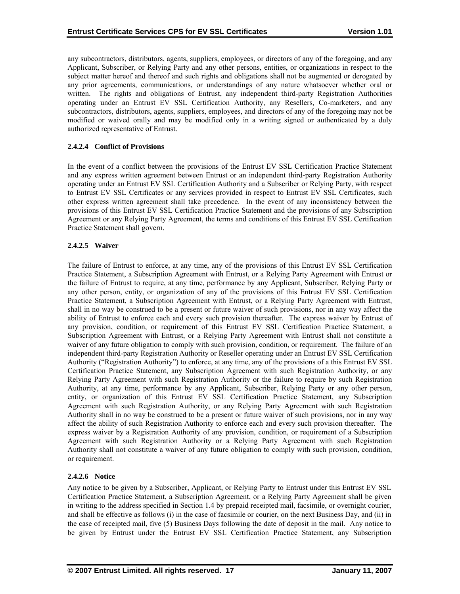any subcontractors, distributors, agents, suppliers, employees, or directors of any of the foregoing, and any Applicant, Subscriber, or Relying Party and any other persons, entities, or organizations in respect to the subject matter hereof and thereof and such rights and obligations shall not be augmented or derogated by any prior agreements, communications, or understandings of any nature whatsoever whether oral or written. The rights and obligations of Entrust, any independent third-party Registration Authorities operating under an Entrust EV SSL Certification Authority, any Resellers, Co-marketers, and any subcontractors, distributors, agents, suppliers, employees, and directors of any of the foregoing may not be modified or waived orally and may be modified only in a writing signed or authenticated by a duly authorized representative of Entrust.

# **2.4.2.4 Conflict of Provisions**

In the event of a conflict between the provisions of the Entrust EV SSL Certification Practice Statement and any express written agreement between Entrust or an independent third-party Registration Authority operating under an Entrust EV SSL Certification Authority and a Subscriber or Relying Party, with respect to Entrust EV SSL Certificates or any services provided in respect to Entrust EV SSL Certificates, such other express written agreement shall take precedence. In the event of any inconsistency between the provisions of this Entrust EV SSL Certification Practice Statement and the provisions of any Subscription Agreement or any Relying Party Agreement, the terms and conditions of this Entrust EV SSL Certification Practice Statement shall govern.

# **2.4.2.5 Waiver**

The failure of Entrust to enforce, at any time, any of the provisions of this Entrust EV SSL Certification Practice Statement, a Subscription Agreement with Entrust, or a Relying Party Agreement with Entrust or the failure of Entrust to require, at any time, performance by any Applicant, Subscriber, Relying Party or any other person, entity, or organization of any of the provisions of this Entrust EV SSL Certification Practice Statement, a Subscription Agreement with Entrust, or a Relying Party Agreement with Entrust, shall in no way be construed to be a present or future waiver of such provisions, nor in any way affect the ability of Entrust to enforce each and every such provision thereafter. The express waiver by Entrust of any provision, condition, or requirement of this Entrust EV SSL Certification Practice Statement, a Subscription Agreement with Entrust, or a Relying Party Agreement with Entrust shall not constitute a waiver of any future obligation to comply with such provision, condition, or requirement. The failure of an independent third-party Registration Authority or Reseller operating under an Entrust EV SSL Certification Authority ("Registration Authority") to enforce, at any time, any of the provisions of a this Entrust EV SSL Certification Practice Statement, any Subscription Agreement with such Registration Authority, or any Relying Party Agreement with such Registration Authority or the failure to require by such Registration Authority, at any time, performance by any Applicant, Subscriber, Relying Party or any other person, entity, or organization of this Entrust EV SSL Certification Practice Statement, any Subscription Agreement with such Registration Authority, or any Relying Party Agreement with such Registration Authority shall in no way be construed to be a present or future waiver of such provisions, nor in any way affect the ability of such Registration Authority to enforce each and every such provision thereafter. The express waiver by a Registration Authority of any provision, condition, or requirement of a Subscription Agreement with such Registration Authority or a Relying Party Agreement with such Registration Authority shall not constitute a waiver of any future obligation to comply with such provision, condition, or requirement.

# **2.4.2.6 Notice**

Any notice to be given by a Subscriber, Applicant, or Relying Party to Entrust under this Entrust EV SSL Certification Practice Statement, a Subscription Agreement, or a Relying Party Agreement shall be given in writing to the address specified in Section 1.4 by prepaid receipted mail, facsimile, or overnight courier, and shall be effective as follows (i) in the case of facsimile or courier, on the next Business Day, and (ii) in the case of receipted mail, five (5) Business Days following the date of deposit in the mail. Any notice to be given by Entrust under the Entrust EV SSL Certification Practice Statement, any Subscription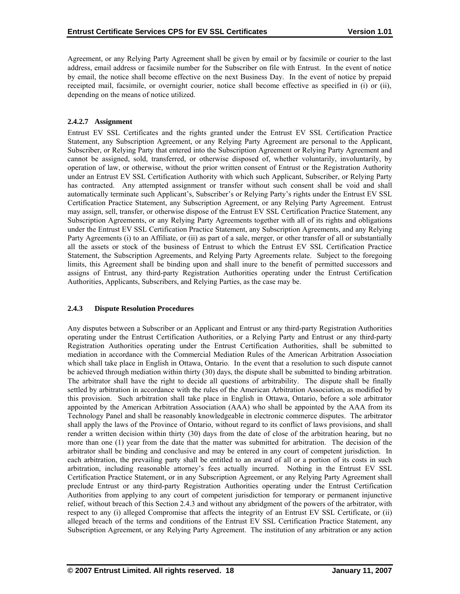<span id="page-22-0"></span>Agreement, or any Relying Party Agreement shall be given by email or by facsimile or courier to the last address, email address or facsimile number for the Subscriber on file with Entrust. In the event of notice by email, the notice shall become effective on the next Business Day. In the event of notice by prepaid receipted mail, facsimile, or overnight courier, notice shall become effective as specified in (i) or (ii), depending on the means of notice utilized.

# **2.4.2.7 Assignment**

Entrust EV SSL Certificates and the rights granted under the Entrust EV SSL Certification Practice Statement, any Subscription Agreement, or any Relying Party Agreement are personal to the Applicant, Subscriber, or Relying Party that entered into the Subscription Agreement or Relying Party Agreement and cannot be assigned, sold, transferred, or otherwise disposed of, whether voluntarily, involuntarily, by operation of law, or otherwise, without the prior written consent of Entrust or the Registration Authority under an Entrust EV SSL Certification Authority with which such Applicant, Subscriber, or Relying Party has contracted. Any attempted assignment or transfer without such consent shall be void and shall automatically terminate such Applicant's, Subscriber's or Relying Party's rights under the Entrust EV SSL Certification Practice Statement, any Subscription Agreement, or any Relying Party Agreement. Entrust may assign, sell, transfer, or otherwise dispose of the Entrust EV SSL Certification Practice Statement, any Subscription Agreements, or any Relying Party Agreements together with all of its rights and obligations under the Entrust EV SSL Certification Practice Statement, any Subscription Agreements, and any Relying Party Agreements (i) to an Affiliate, or (ii) as part of a sale, merger, or other transfer of all or substantially all the assets or stock of the business of Entrust to which the Entrust EV SSL Certification Practice Statement, the Subscription Agreements, and Relying Party Agreements relate. Subject to the foregoing limits, this Agreement shall be binding upon and shall inure to the benefit of permitted successors and assigns of Entrust, any third-party Registration Authorities operating under the Entrust Certification Authorities, Applicants, Subscribers, and Relying Parties, as the case may be.

# **2.4.3 Dispute Resolution Procedures**

Any disputes between a Subscriber or an Applicant and Entrust or any third-party Registration Authorities operating under the Entrust Certification Authorities, or a Relying Party and Entrust or any third-party Registration Authorities operating under the Entrust Certification Authorities, shall be submitted to mediation in accordance with the Commercial Mediation Rules of the American Arbitration Association which shall take place in English in Ottawa, Ontario. In the event that a resolution to such dispute cannot be achieved through mediation within thirty (30) days, the dispute shall be submitted to binding arbitration. The arbitrator shall have the right to decide all questions of arbitrability. The dispute shall be finally settled by arbitration in accordance with the rules of the American Arbitration Association, as modified by this provision. Such arbitration shall take place in English in Ottawa, Ontario, before a sole arbitrator appointed by the American Arbitration Association (AAA) who shall be appointed by the AAA from its Technology Panel and shall be reasonably knowledgeable in electronic commerce disputes. The arbitrator shall apply the laws of the Province of Ontario, without regard to its conflict of laws provisions, and shall render a written decision within thirty (30) days from the date of close of the arbitration hearing, but no more than one (1) year from the date that the matter was submitted for arbitration. The decision of the arbitrator shall be binding and conclusive and may be entered in any court of competent jurisdiction. In each arbitration, the prevailing party shall be entitled to an award of all or a portion of its costs in such arbitration, including reasonable attorney's fees actually incurred. Nothing in the Entrust EV SSL Certification Practice Statement, or in any Subscription Agreement, or any Relying Party Agreement shall preclude Entrust or any third-party Registration Authorities operating under the Entrust Certification Authorities from applying to any court of competent jurisdiction for temporary or permanent injunctive relief, without breach of this Section 2.4.3 and without any abridgment of the powers of the arbitrator, with respect to any (i) alleged Compromise that affects the integrity of an Entrust EV SSL Certificate, or (ii) alleged breach of the terms and conditions of the Entrust EV SSL Certification Practice Statement, any Subscription Agreement, or any Relying Party Agreement. The institution of any arbitration or any action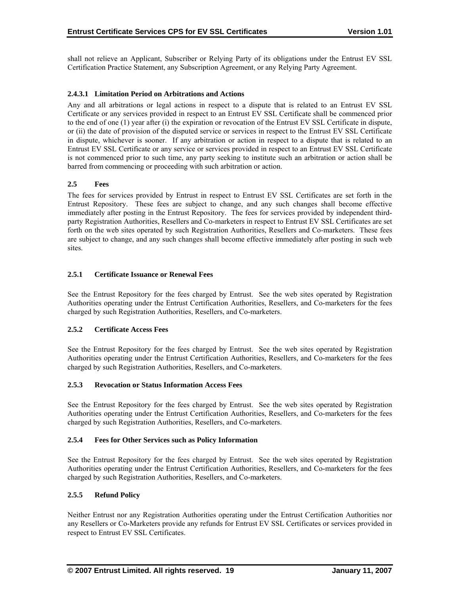<span id="page-23-0"></span>shall not relieve an Applicant, Subscriber or Relying Party of its obligations under the Entrust EV SSL Certification Practice Statement, any Subscription Agreement, or any Relying Party Agreement.

#### **2.4.3.1 Limitation Period on Arbitrations and Actions**

Any and all arbitrations or legal actions in respect to a dispute that is related to an Entrust EV SSL Certificate or any services provided in respect to an Entrust EV SSL Certificate shall be commenced prior to the end of one (1) year after (i) the expiration or revocation of the Entrust EV SSL Certificate in dispute, or (ii) the date of provision of the disputed service or services in respect to the Entrust EV SSL Certificate in dispute, whichever is sooner. If any arbitration or action in respect to a dispute that is related to an Entrust EV SSL Certificate or any service or services provided in respect to an Entrust EV SSL Certificate is not commenced prior to such time, any party seeking to institute such an arbitration or action shall be barred from commencing or proceeding with such arbitration or action.

# **2.5 Fees**

The fees for services provided by Entrust in respect to Entrust EV SSL Certificates are set forth in the Entrust Repository. These fees are subject to change, and any such changes shall become effective immediately after posting in the Entrust Repository. The fees for services provided by independent thirdparty Registration Authorities, Resellers and Co-marketers in respect to Entrust EV SSL Certificates are set forth on the web sites operated by such Registration Authorities, Resellers and Co-marketers. These fees are subject to change, and any such changes shall become effective immediately after posting in such web sites.

# **2.5.1 Certificate Issuance or Renewal Fees**

See the Entrust Repository for the fees charged by Entrust. See the web sites operated by Registration Authorities operating under the Entrust Certification Authorities, Resellers, and Co-marketers for the fees charged by such Registration Authorities, Resellers, and Co-marketers.

#### **2.5.2 Certificate Access Fees**

See the Entrust Repository for the fees charged by Entrust. See the web sites operated by Registration Authorities operating under the Entrust Certification Authorities, Resellers, and Co-marketers for the fees charged by such Registration Authorities, Resellers, and Co-marketers.

#### **2.5.3 Revocation or Status Information Access Fees**

See the Entrust Repository for the fees charged by Entrust. See the web sites operated by Registration Authorities operating under the Entrust Certification Authorities, Resellers, and Co-marketers for the fees charged by such Registration Authorities, Resellers, and Co-marketers.

#### **2.5.4 Fees for Other Services such as Policy Information**

See the Entrust Repository for the fees charged by Entrust. See the web sites operated by Registration Authorities operating under the Entrust Certification Authorities, Resellers, and Co-marketers for the fees charged by such Registration Authorities, Resellers, and Co-marketers.

# **2.5.5 Refund Policy**

Neither Entrust nor any Registration Authorities operating under the Entrust Certification Authorities nor any Resellers or Co-Marketers provide any refunds for Entrust EV SSL Certificates or services provided in respect to Entrust EV SSL Certificates.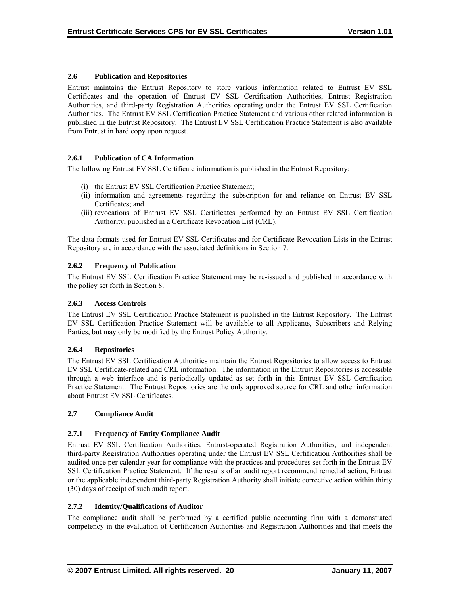# <span id="page-24-0"></span>**2.6 Publication and Repositories**

Entrust maintains the Entrust Repository to store various information related to Entrust EV SSL Certificates and the operation of Entrust EV SSL Certification Authorities, Entrust Registration Authorities, and third-party Registration Authorities operating under the Entrust EV SSL Certification Authorities. The Entrust EV SSL Certification Practice Statement and various other related information is published in the Entrust Repository. The Entrust EV SSL Certification Practice Statement is also available from Entrust in hard copy upon request.

# **2.6.1 Publication of CA Information**

The following Entrust EV SSL Certificate information is published in the Entrust Repository:

- (i) the Entrust EV SSL Certification Practice Statement;
- (ii) information and agreements regarding the subscription for and reliance on Entrust EV SSL Certificates; and
- (iii) revocations of Entrust EV SSL Certificates performed by an Entrust EV SSL Certification Authority, published in a Certificate Revocation List (CRL).

The data formats used for Entrust EV SSL Certificates and for Certificate Revocation Lists in the Entrust Repository are in accordance with the associated definitions in Section 7.

# **2.6.2 Frequency of Publication**

The Entrust EV SSL Certification Practice Statement may be re-issued and published in accordance with the policy set forth in Section 8.

#### **2.6.3 Access Controls**

The Entrust EV SSL Certification Practice Statement is published in the Entrust Repository. The Entrust EV SSL Certification Practice Statement will be available to all Applicants, Subscribers and Relying Parties, but may only be modified by the Entrust Policy Authority.

#### **2.6.4 Repositories**

The Entrust EV SSL Certification Authorities maintain the Entrust Repositories to allow access to Entrust EV SSL Certificate-related and CRL information. The information in the Entrust Repositories is accessible through a web interface and is periodically updated as set forth in this Entrust EV SSL Certification Practice Statement. The Entrust Repositories are the only approved source for CRL and other information about Entrust EV SSL Certificates.

#### **2.7 Compliance Audit**

#### **2.7.1 Frequency of Entity Compliance Audit**

Entrust EV SSL Certification Authorities, Entrust-operated Registration Authorities, and independent third-party Registration Authorities operating under the Entrust EV SSL Certification Authorities shall be audited once per calendar year for compliance with the practices and procedures set forth in the Entrust EV SSL Certification Practice Statement. If the results of an audit report recommend remedial action, Entrust or the applicable independent third-party Registration Authority shall initiate corrective action within thirty (30) days of receipt of such audit report.

# **2.7.2 Identity/Qualifications of Auditor**

The compliance audit shall be performed by a certified public accounting firm with a demonstrated competency in the evaluation of Certification Authorities and Registration Authorities and that meets the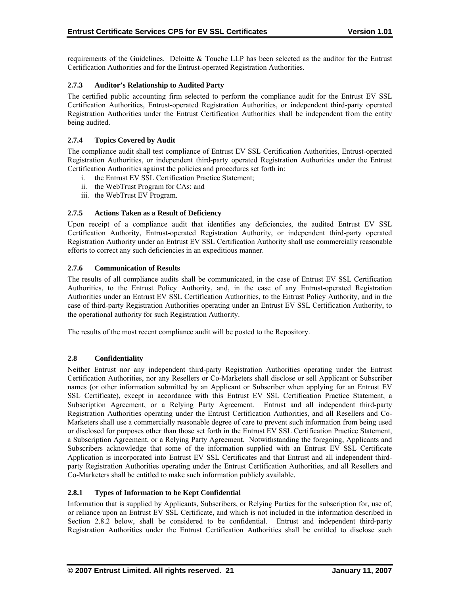<span id="page-25-0"></span>requirements of the Guidelines. Deloitte & Touche LLP has been selected as the auditor for the Entrust Certification Authorities and for the Entrust-operated Registration Authorities.

#### **2.7.3 Auditor's Relationship to Audited Party**

The certified public accounting firm selected to perform the compliance audit for the Entrust EV SSL Certification Authorities, Entrust-operated Registration Authorities, or independent third-party operated Registration Authorities under the Entrust Certification Authorities shall be independent from the entity being audited.

#### **2.7.4 Topics Covered by Audit**

The compliance audit shall test compliance of Entrust EV SSL Certification Authorities, Entrust-operated Registration Authorities, or independent third-party operated Registration Authorities under the Entrust Certification Authorities against the policies and procedures set forth in:

- i. the Entrust EV SSL Certification Practice Statement;
- ii. the WebTrust Program for CAs; and
- iii. the WebTrust EV Program.

# **2.7.5 Actions Taken as a Result of Deficiency**

Upon receipt of a compliance audit that identifies any deficiencies, the audited Entrust EV SSL Certification Authority, Entrust-operated Registration Authority, or independent third-party operated Registration Authority under an Entrust EV SSL Certification Authority shall use commercially reasonable efforts to correct any such deficiencies in an expeditious manner.

#### **2.7.6 Communication of Results**

The results of all compliance audits shall be communicated, in the case of Entrust EV SSL Certification Authorities, to the Entrust Policy Authority, and, in the case of any Entrust-operated Registration Authorities under an Entrust EV SSL Certification Authorities, to the Entrust Policy Authority, and in the case of third-party Registration Authorities operating under an Entrust EV SSL Certification Authority, to the operational authority for such Registration Authority.

The results of the most recent compliance audit will be posted to the Repository.

#### **2.8 Confidentiality**

Neither Entrust nor any independent third-party Registration Authorities operating under the Entrust Certification Authorities, nor any Resellers or Co-Marketers shall disclose or sell Applicant or Subscriber names (or other information submitted by an Applicant or Subscriber when applying for an Entrust EV SSL Certificate), except in accordance with this Entrust EV SSL Certification Practice Statement, a Subscription Agreement, or a Relying Party Agreement. Entrust and all independent third-party Registration Authorities operating under the Entrust Certification Authorities, and all Resellers and Co-Marketers shall use a commercially reasonable degree of care to prevent such information from being used or disclosed for purposes other than those set forth in the Entrust EV SSL Certification Practice Statement, a Subscription Agreement, or a Relying Party Agreement. Notwithstanding the foregoing, Applicants and Subscribers acknowledge that some of the information supplied with an Entrust EV SSL Certificate Application is incorporated into Entrust EV SSL Certificates and that Entrust and all independent thirdparty Registration Authorities operating under the Entrust Certification Authorities, and all Resellers and Co-Marketers shall be entitled to make such information publicly available.

#### **2.8.1 Types of Information to be Kept Confidential**

Information that is supplied by Applicants, Subscribers, or Relying Parties for the subscription for, use of, or reliance upon an Entrust EV SSL Certificate, and which is not included in the information described in Section 2.8.2 below, shall be considered to be confidential. Entrust and independent third-party Registration Authorities under the Entrust Certification Authorities shall be entitled to disclose such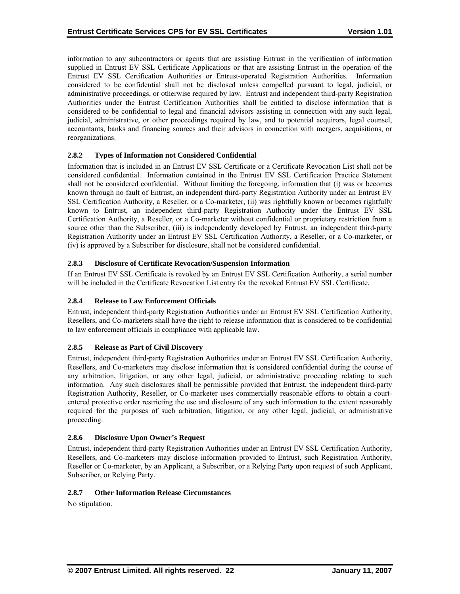<span id="page-26-0"></span>information to any subcontractors or agents that are assisting Entrust in the verification of information supplied in Entrust EV SSL Certificate Applications or that are assisting Entrust in the operation of the Entrust EV SSL Certification Authorities or Entrust-operated Registration Authorities. Information considered to be confidential shall not be disclosed unless compelled pursuant to legal, judicial, or administrative proceedings, or otherwise required by law. Entrust and independent third-party Registration Authorities under the Entrust Certification Authorities shall be entitled to disclose information that is considered to be confidential to legal and financial advisors assisting in connection with any such legal, judicial, administrative, or other proceedings required by law, and to potential acquirors, legal counsel, accountants, banks and financing sources and their advisors in connection with mergers, acquisitions, or reorganizations.

# **2.8.2 Types of Information not Considered Confidential**

Information that is included in an Entrust EV SSL Certificate or a Certificate Revocation List shall not be considered confidential. Information contained in the Entrust EV SSL Certification Practice Statement shall not be considered confidential. Without limiting the foregoing, information that (i) was or becomes known through no fault of Entrust, an independent third-party Registration Authority under an Entrust EV SSL Certification Authority, a Reseller, or a Co-marketer, (ii) was rightfully known or becomes rightfully known to Entrust, an independent third-party Registration Authority under the Entrust EV SSL Certification Authority, a Reseller, or a Co-marketer without confidential or proprietary restriction from a source other than the Subscriber, (iii) is independently developed by Entrust, an independent third-party Registration Authority under an Entrust EV SSL Certification Authority, a Reseller, or a Co-marketer, or (iv) is approved by a Subscriber for disclosure, shall not be considered confidential.

# **2.8.3 Disclosure of Certificate Revocation/Suspension Information**

If an Entrust EV SSL Certificate is revoked by an Entrust EV SSL Certification Authority, a serial number will be included in the Certificate Revocation List entry for the revoked Entrust EV SSL Certificate.

# **2.8.4 Release to Law Enforcement Officials**

Entrust, independent third-party Registration Authorities under an Entrust EV SSL Certification Authority, Resellers, and Co-marketers shall have the right to release information that is considered to be confidential to law enforcement officials in compliance with applicable law.

#### **2.8.5 Release as Part of Civil Discovery**

Entrust, independent third-party Registration Authorities under an Entrust EV SSL Certification Authority, Resellers, and Co-marketers may disclose information that is considered confidential during the course of any arbitration, litigation, or any other legal, judicial, or administrative proceeding relating to such information. Any such disclosures shall be permissible provided that Entrust, the independent third-party Registration Authority, Reseller, or Co-marketer uses commercially reasonable efforts to obtain a courtentered protective order restricting the use and disclosure of any such information to the extent reasonably required for the purposes of such arbitration, litigation, or any other legal, judicial, or administrative proceeding.

#### **2.8.6 Disclosure Upon Owner's Request**

Entrust, independent third-party Registration Authorities under an Entrust EV SSL Certification Authority, Resellers, and Co-marketers may disclose information provided to Entrust, such Registration Authority, Reseller or Co-marketer, by an Applicant, a Subscriber, or a Relying Party upon request of such Applicant, Subscriber, or Relying Party.

#### **2.8.7 Other Information Release Circumstances**

No stipulation.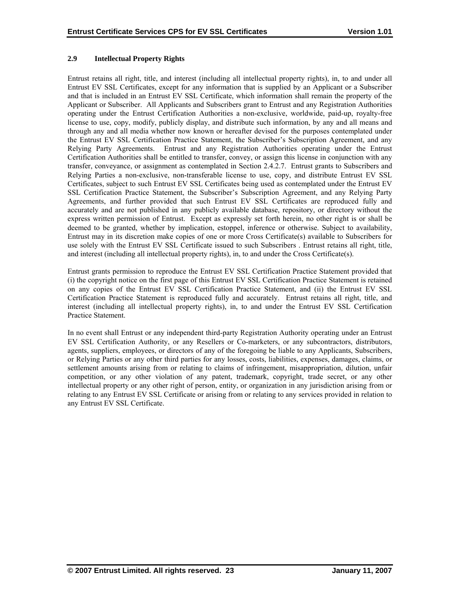# <span id="page-27-0"></span>**2.9 Intellectual Property Rights**

Entrust retains all right, title, and interest (including all intellectual property rights), in, to and under all Entrust EV SSL Certificates, except for any information that is supplied by an Applicant or a Subscriber and that is included in an Entrust EV SSL Certificate, which information shall remain the property of the Applicant or Subscriber. All Applicants and Subscribers grant to Entrust and any Registration Authorities operating under the Entrust Certification Authorities a non-exclusive, worldwide, paid-up, royalty-free license to use, copy, modify, publicly display, and distribute such information, by any and all means and through any and all media whether now known or hereafter devised for the purposes contemplated under the Entrust EV SSL Certification Practice Statement, the Subscriber's Subscription Agreement, and any Relying Party Agreements. Entrust and any Registration Authorities operating under the Entrust Certification Authorities shall be entitled to transfer, convey, or assign this license in conjunction with any transfer, conveyance, or assignment as contemplated in Section 2.4.2.7. Entrust grants to Subscribers and Relying Parties a non-exclusive, non-transferable license to use, copy, and distribute Entrust EV SSL Certificates, subject to such Entrust EV SSL Certificates being used as contemplated under the Entrust EV SSL Certification Practice Statement, the Subscriber's Subscription Agreement, and any Relying Party Agreements, and further provided that such Entrust EV SSL Certificates are reproduced fully and accurately and are not published in any publicly available database, repository, or directory without the express written permission of Entrust. Except as expressly set forth herein, no other right is or shall be deemed to be granted, whether by implication, estoppel, inference or otherwise. Subject to availability, Entrust may in its discretion make copies of one or more Cross Certificate(s) available to Subscribers for use solely with the Entrust EV SSL Certificate issued to such Subscribers . Entrust retains all right, title, and interest (including all intellectual property rights), in, to and under the Cross Certificate(s).

Entrust grants permission to reproduce the Entrust EV SSL Certification Practice Statement provided that (i) the copyright notice on the first page of this Entrust EV SSL Certification Practice Statement is retained on any copies of the Entrust EV SSL Certification Practice Statement, and (ii) the Entrust EV SSL Certification Practice Statement is reproduced fully and accurately. Entrust retains all right, title, and interest (including all intellectual property rights), in, to and under the Entrust EV SSL Certification Practice Statement.

In no event shall Entrust or any independent third-party Registration Authority operating under an Entrust EV SSL Certification Authority, or any Resellers or Co-marketers, or any subcontractors, distributors, agents, suppliers, employees, or directors of any of the foregoing be liable to any Applicants, Subscribers, or Relying Parties or any other third parties for any losses, costs, liabilities, expenses, damages, claims, or settlement amounts arising from or relating to claims of infringement, misappropriation, dilution, unfair competition, or any other violation of any patent, trademark, copyright, trade secret, or any other intellectual property or any other right of person, entity, or organization in any jurisdiction arising from or relating to any Entrust EV SSL Certificate or arising from or relating to any services provided in relation to any Entrust EV SSL Certificate.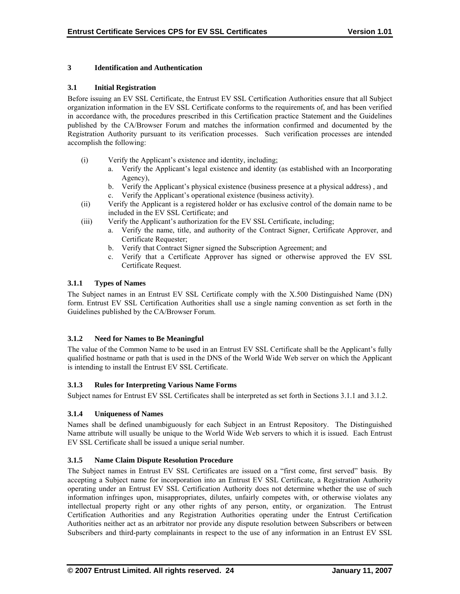# <span id="page-28-0"></span>**3 Identification and Authentication**

#### **3.1 Initial Registration**

Before issuing an EV SSL Certificate, the Entrust EV SSL Certification Authorities ensure that all Subject organization information in the EV SSL Certificate conforms to the requirements of, and has been verified in accordance with, the procedures prescribed in this Certification practice Statement and the Guidelines published by the CA/Browser Forum and matches the information confirmed and documented by the Registration Authority pursuant to its verification processes. Such verification processes are intended accomplish the following:

- (i) Verify the Applicant's existence and identity, including;
	- a. Verify the Applicant's legal existence and identity (as established with an Incorporating Agency),
	- b. Verify the Applicant's physical existence (business presence at a physical address) , and
	- c. Verify the Applicant's operational existence (business activity).
- (ii) Verify the Applicant is a registered holder or has exclusive control of the domain name to be included in the EV SSL Certificate; and
- (iii) Verify the Applicant's authorization for the EV SSL Certificate, including;
	- a. Verify the name, title, and authority of the Contract Signer, Certificate Approver, and Certificate Requester;
	- b. Verify that Contract Signer signed the Subscription Agreement; and
	- c. Verify that a Certificate Approver has signed or otherwise approved the EV SSL Certificate Request.

# **3.1.1 Types of Names**

The Subject names in an Entrust EV SSL Certificate comply with the X.500 Distinguished Name (DN) form. Entrust EV SSL Certification Authorities shall use a single naming convention as set forth in the Guidelines published by the CA/Browser Forum.

# **3.1.2 Need for Names to Be Meaningful**

The value of the Common Name to be used in an Entrust EV SSL Certificate shall be the Applicant's fully qualified hostname or path that is used in the DNS of the World Wide Web server on which the Applicant is intending to install the Entrust EV SSL Certificate.

#### **3.1.3 Rules for Interpreting Various Name Forms**

Subject names for Entrust EV SSL Certificates shall be interpreted as set forth in Sections 3.1.1 and 3.1.2.

# **3.1.4 Uniqueness of Names**

Names shall be defined unambiguously for each Subject in an Entrust Repository. The Distinguished Name attribute will usually be unique to the World Wide Web servers to which it is issued. Each Entrust EV SSL Certificate shall be issued a unique serial number.

# **3.1.5 Name Claim Dispute Resolution Procedure**

The Subject names in Entrust EV SSL Certificates are issued on a "first come, first served" basis. By accepting a Subject name for incorporation into an Entrust EV SSL Certificate, a Registration Authority operating under an Entrust EV SSL Certification Authority does not determine whether the use of such information infringes upon, misappropriates, dilutes, unfairly competes with, or otherwise violates any intellectual property right or any other rights of any person, entity, or organization. The Entrust Certification Authorities and any Registration Authorities operating under the Entrust Certification Authorities neither act as an arbitrator nor provide any dispute resolution between Subscribers or between Subscribers and third-party complainants in respect to the use of any information in an Entrust EV SSL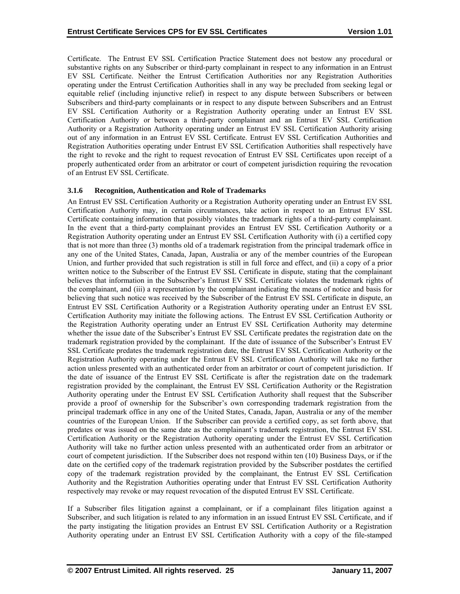<span id="page-29-0"></span>Certificate. The Entrust EV SSL Certification Practice Statement does not bestow any procedural or substantive rights on any Subscriber or third-party complainant in respect to any information in an Entrust EV SSL Certificate. Neither the Entrust Certification Authorities nor any Registration Authorities operating under the Entrust Certification Authorities shall in any way be precluded from seeking legal or equitable relief (including injunctive relief) in respect to any dispute between Subscribers or between Subscribers and third-party complainants or in respect to any dispute between Subscribers and an Entrust EV SSL Certification Authority or a Registration Authority operating under an Entrust EV SSL Certification Authority or between a third-party complainant and an Entrust EV SSL Certification Authority or a Registration Authority operating under an Entrust EV SSL Certification Authority arising out of any information in an Entrust EV SSL Certificate. Entrust EV SSL Certification Authorities and Registration Authorities operating under Entrust EV SSL Certification Authorities shall respectively have the right to revoke and the right to request revocation of Entrust EV SSL Certificates upon receipt of a properly authenticated order from an arbitrator or court of competent jurisdiction requiring the revocation of an Entrust EV SSL Certificate.

#### **3.1.6 Recognition, Authentication and Role of Trademarks**

An Entrust EV SSL Certification Authority or a Registration Authority operating under an Entrust EV SSL Certification Authority may, in certain circumstances, take action in respect to an Entrust EV SSL Certificate containing information that possibly violates the trademark rights of a third-party complainant. In the event that a third-party complainant provides an Entrust EV SSL Certification Authority or a Registration Authority operating under an Entrust EV SSL Certification Authority with (i) a certified copy that is not more than three (3) months old of a trademark registration from the principal trademark office in any one of the United States, Canada, Japan, Australia or any of the member countries of the European Union, and further provided that such registration is still in full force and effect, and (ii) a copy of a prior written notice to the Subscriber of the Entrust EV SSL Certificate in dispute, stating that the complainant believes that information in the Subscriber's Entrust EV SSL Certificate violates the trademark rights of the complainant, and (iii) a representation by the complainant indicating the means of notice and basis for believing that such notice was received by the Subscriber of the Entrust EV SSL Certificate in dispute, an Entrust EV SSL Certification Authority or a Registration Authority operating under an Entrust EV SSL Certification Authority may initiate the following actions. The Entrust EV SSL Certification Authority or the Registration Authority operating under an Entrust EV SSL Certification Authority may determine whether the issue date of the Subscriber's Entrust EV SSL Certificate predates the registration date on the trademark registration provided by the complainant. If the date of issuance of the Subscriber's Entrust EV SSL Certificate predates the trademark registration date, the Entrust EV SSL Certification Authority or the Registration Authority operating under the Entrust EV SSL Certification Authority will take no further action unless presented with an authenticated order from an arbitrator or court of competent jurisdiction. If the date of issuance of the Entrust EV SSL Certificate is after the registration date on the trademark registration provided by the complainant, the Entrust EV SSL Certification Authority or the Registration Authority operating under the Entrust EV SSL Certification Authority shall request that the Subscriber provide a proof of ownership for the Subscriber's own corresponding trademark registration from the principal trademark office in any one of the United States, Canada, Japan, Australia or any of the member countries of the European Union. If the Subscriber can provide a certified copy, as set forth above, that predates or was issued on the same date as the complainant's trademark registration, the Entrust EV SSL Certification Authority or the Registration Authority operating under the Entrust EV SSL Certification Authority will take no further action unless presented with an authenticated order from an arbitrator or court of competent jurisdiction. If the Subscriber does not respond within ten (10) Business Days, or if the date on the certified copy of the trademark registration provided by the Subscriber postdates the certified copy of the trademark registration provided by the complainant, the Entrust EV SSL Certification Authority and the Registration Authorities operating under that Entrust EV SSL Certification Authority respectively may revoke or may request revocation of the disputed Entrust EV SSL Certificate.

If a Subscriber files litigation against a complainant, or if a complainant files litigation against a Subscriber, and such litigation is related to any information in an issued Entrust EV SSL Certificate, and if the party instigating the litigation provides an Entrust EV SSL Certification Authority or a Registration Authority operating under an Entrust EV SSL Certification Authority with a copy of the file-stamped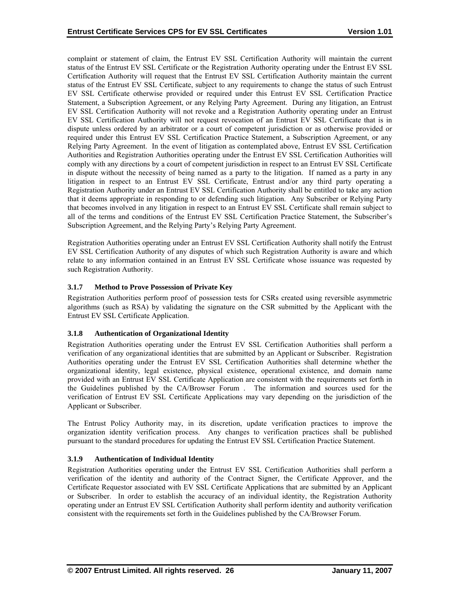<span id="page-30-0"></span>complaint or statement of claim, the Entrust EV SSL Certification Authority will maintain the current status of the Entrust EV SSL Certificate or the Registration Authority operating under the Entrust EV SSL Certification Authority will request that the Entrust EV SSL Certification Authority maintain the current status of the Entrust EV SSL Certificate, subject to any requirements to change the status of such Entrust EV SSL Certificate otherwise provided or required under this Entrust EV SSL Certification Practice Statement, a Subscription Agreement, or any Relying Party Agreement. During any litigation, an Entrust EV SSL Certification Authority will not revoke and a Registration Authority operating under an Entrust EV SSL Certification Authority will not request revocation of an Entrust EV SSL Certificate that is in dispute unless ordered by an arbitrator or a court of competent jurisdiction or as otherwise provided or required under this Entrust EV SSL Certification Practice Statement, a Subscription Agreement, or any Relying Party Agreement. In the event of litigation as contemplated above, Entrust EV SSL Certification Authorities and Registration Authorities operating under the Entrust EV SSL Certification Authorities will comply with any directions by a court of competent jurisdiction in respect to an Entrust EV SSL Certificate in dispute without the necessity of being named as a party to the litigation. If named as a party in any litigation in respect to an Entrust EV SSL Certificate, Entrust and/or any third party operating a Registration Authority under an Entrust EV SSL Certification Authority shall be entitled to take any action that it deems appropriate in responding to or defending such litigation. Any Subscriber or Relying Party that becomes involved in any litigation in respect to an Entrust EV SSL Certificate shall remain subject to all of the terms and conditions of the Entrust EV SSL Certification Practice Statement, the Subscriber's Subscription Agreement, and the Relying Party's Relying Party Agreement.

Registration Authorities operating under an Entrust EV SSL Certification Authority shall notify the Entrust EV SSL Certification Authority of any disputes of which such Registration Authority is aware and which relate to any information contained in an Entrust EV SSL Certificate whose issuance was requested by such Registration Authority.

# **3.1.7 Method to Prove Possession of Private Key**

Registration Authorities perform proof of possession tests for CSRs created using reversible asymmetric algorithms (such as RSA) by validating the signature on the CSR submitted by the Applicant with the Entrust EV SSL Certificate Application.

#### **3.1.8 Authentication of Organizational Identity**

Registration Authorities operating under the Entrust EV SSL Certification Authorities shall perform a verification of any organizational identities that are submitted by an Applicant or Subscriber. Registration Authorities operating under the Entrust EV SSL Certification Authorities shall determine whether the organizational identity, legal existence, physical existence, operational existence, and domain name provided with an Entrust EV SSL Certificate Application are consistent with the requirements set forth in the Guidelines published by the CA/Browser Forum . The information and sources used for the verification of Entrust EV SSL Certificate Applications may vary depending on the jurisdiction of the Applicant or Subscriber.

The Entrust Policy Authority may, in its discretion, update verification practices to improve the organization identity verification process. Any changes to verification practices shall be published pursuant to the standard procedures for updating the Entrust EV SSL Certification Practice Statement.

#### **3.1.9 Authentication of Individual Identity**

Registration Authorities operating under the Entrust EV SSL Certification Authorities shall perform a verification of the identity and authority of the Contract Signer, the Certificate Approver, and the Certificate Requestor associated with EV SSL Certificate Applications that are submitted by an Applicant or Subscriber. In order to establish the accuracy of an individual identity, the Registration Authority operating under an Entrust EV SSL Certification Authority shall perform identity and authority verification consistent with the requirements set forth in the Guidelines published by the CA/Browser Forum.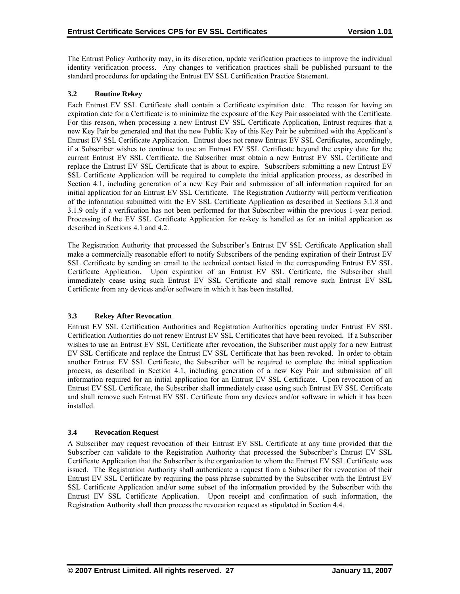<span id="page-31-0"></span>The Entrust Policy Authority may, in its discretion, update verification practices to improve the individual identity verification process. Any changes to verification practices shall be published pursuant to the standard procedures for updating the Entrust EV SSL Certification Practice Statement.

# **3.2 Routine Rekey**

Each Entrust EV SSL Certificate shall contain a Certificate expiration date. The reason for having an expiration date for a Certificate is to minimize the exposure of the Key Pair associated with the Certificate. For this reason, when processing a new Entrust EV SSL Certificate Application, Entrust requires that a new Key Pair be generated and that the new Public Key of this Key Pair be submitted with the Applicant's Entrust EV SSL Certificate Application. Entrust does not renew Entrust EV SSL Certificates, accordingly, if a Subscriber wishes to continue to use an Entrust EV SSL Certificate beyond the expiry date for the current Entrust EV SSL Certificate, the Subscriber must obtain a new Entrust EV SSL Certificate and replace the Entrust EV SSL Certificate that is about to expire. Subscribers submitting a new Entrust EV SSL Certificate Application will be required to complete the initial application process, as described in Section 4.1, including generation of a new Key Pair and submission of all information required for an initial application for an Entrust EV SSL Certificate. The Registration Authority will perform verification of the information submitted with the EV SSL Certificate Application as described in Sections 3.1.8 and 3.1.9 only if a verification has not been performed for that Subscriber within the previous 1-year period. Processing of the EV SSL Certificate Application for re-key is handled as for an initial application as described in Sections 4.1 and 4.2.

The Registration Authority that processed the Subscriber's Entrust EV SSL Certificate Application shall make a commercially reasonable effort to notify Subscribers of the pending expiration of their Entrust EV SSL Certificate by sending an email to the technical contact listed in the corresponding Entrust EV SSL Certificate Application. Upon expiration of an Entrust EV SSL Certificate, the Subscriber shall immediately cease using such Entrust EV SSL Certificate and shall remove such Entrust EV SSL Certificate from any devices and/or software in which it has been installed.

# **3.3 Rekey After Revocation**

Entrust EV SSL Certification Authorities and Registration Authorities operating under Entrust EV SSL Certification Authorities do not renew Entrust EV SSL Certificates that have been revoked. If a Subscriber wishes to use an Entrust EV SSL Certificate after revocation, the Subscriber must apply for a new Entrust EV SSL Certificate and replace the Entrust EV SSL Certificate that has been revoked. In order to obtain another Entrust EV SSL Certificate, the Subscriber will be required to complete the initial application process, as described in Section 4.1, including generation of a new Key Pair and submission of all information required for an initial application for an Entrust EV SSL Certificate. Upon revocation of an Entrust EV SSL Certificate, the Subscriber shall immediately cease using such Entrust EV SSL Certificate and shall remove such Entrust EV SSL Certificate from any devices and/or software in which it has been installed.

#### **3.4 Revocation Request**

A Subscriber may request revocation of their Entrust EV SSL Certificate at any time provided that the Subscriber can validate to the Registration Authority that processed the Subscriber's Entrust EV SSL Certificate Application that the Subscriber is the organization to whom the Entrust EV SSL Certificate was issued. The Registration Authority shall authenticate a request from a Subscriber for revocation of their Entrust EV SSL Certificate by requiring the pass phrase submitted by the Subscriber with the Entrust EV SSL Certificate Application and/or some subset of the information provided by the Subscriber with the Entrust EV SSL Certificate Application. Upon receipt and confirmation of such information, the Registration Authority shall then process the revocation request as stipulated in Section 4.4.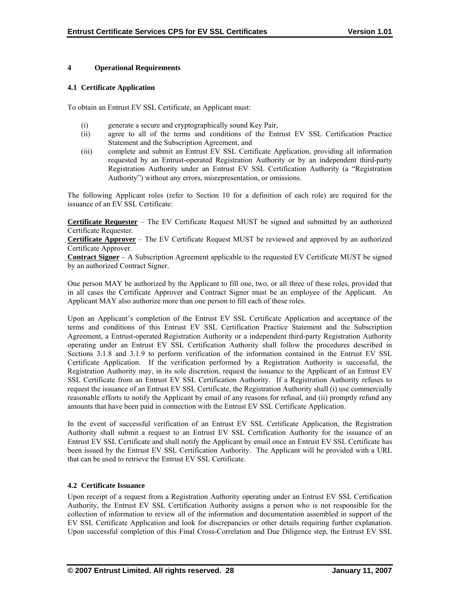#### <span id="page-32-0"></span>**4 Operational Requirements**

#### **4.1 Certificate Application**

To obtain an Entrust EV SSL Certificate, an Applicant must:

- (i) generate a secure and cryptographically sound Key Pair,
- (ii) agree to all of the terms and conditions of the Entrust EV SSL Certification Practice Statement and the Subscription Agreement, and
- (iii) complete and submit an Entrust EV SSL Certificate Application, providing all information requested by an Entrust-operated Registration Authority or by an independent third-party Registration Authority under an Entrust EV SSL Certification Authority (a "Registration Authority") without any errors, misrepresentation, or omissions.

The following Applicant roles (refer to Section 10 for a definition of each role) are required for the issuance of an EV SSL Certificate:

**Certificate Requester** – The EV Certificate Request MUST be signed and submitted by an authorized Certificate Requester.

**Certificate Approver** – The EV Certificate Request MUST be reviewed and approved by an authorized Certificate Approver.

**Contract Signer** – A Subscription Agreement applicable to the requested EV Certificate MUST be signed by an authorized Contract Signer.

One person MAY be authorized by the Applicant to fill one, two, or all three of these roles, provided that in all cases the Certificate Approver and Contract Signer must be an employee of the Applicant. An Applicant MAY also authorize more than one person to fill each of these roles.

Upon an Applicant's completion of the Entrust EV SSL Certificate Application and acceptance of the terms and conditions of this Entrust EV SSL Certification Practice Statement and the Subscription Agreement, a Entrust-operated Registration Authority or a independent third-party Registration Authority operating under an Entrust EV SSL Certification Authority shall follow the procedures described in Sections 3.1.8 and 3.1.9 to perform verification of the information contained in the Entrust EV SSL Certificate Application. If the verification performed by a Registration Authority is successful, the Registration Authority may, in its sole discretion, request the issuance to the Applicant of an Entrust EV SSL Certificate from an Entrust EV SSL Certification Authority. If a Registration Authority refuses to request the issuance of an Entrust EV SSL Certificate, the Registration Authority shall (i) use commercially reasonable efforts to notify the Applicant by email of any reasons for refusal, and (ii) promptly refund any amounts that have been paid in connection with the Entrust EV SSL Certificate Application.

In the event of successful verification of an Entrust EV SSL Certificate Application, the Registration Authority shall submit a request to an Entrust EV SSL Certification Authority for the issuance of an Entrust EV SSL Certificate and shall notify the Applicant by email once an Entrust EV SSL Certificate has been issued by the Entrust EV SSL Certification Authority. The Applicant will be provided with a URL that can be used to retrieve the Entrust EV SSL Certificate.

#### **4.2 Certificate Issuance**

Upon receipt of a request from a Registration Authority operating under an Entrust EV SSL Certification Authority, the Entrust EV SSL Certification Authority assigns a person who is not responsible for the collection of information to review all of the information and documentation assembled in support of the EV SSL Certificate Application and look for discrepancies or other details requiring further explanation. Upon successful completion of this Final Cross-Correlation and Due Diligence step, the Entrust EV SSL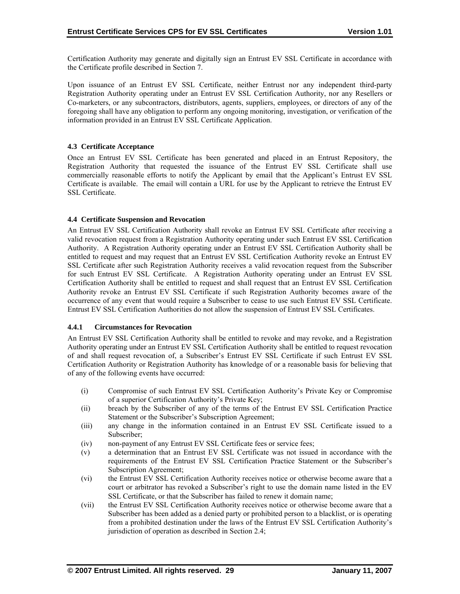<span id="page-33-0"></span>Certification Authority may generate and digitally sign an Entrust EV SSL Certificate in accordance with the Certificate profile described in Section 7.

Upon issuance of an Entrust EV SSL Certificate, neither Entrust nor any independent third-party Registration Authority operating under an Entrust EV SSL Certification Authority, nor any Resellers or Co-marketers, or any subcontractors, distributors, agents, suppliers, employees, or directors of any of the foregoing shall have any obligation to perform any ongoing monitoring, investigation, or verification of the information provided in an Entrust EV SSL Certificate Application.

# **4.3 Certificate Acceptance**

Once an Entrust EV SSL Certificate has been generated and placed in an Entrust Repository, the Registration Authority that requested the issuance of the Entrust EV SSL Certificate shall use commercially reasonable efforts to notify the Applicant by email that the Applicant's Entrust EV SSL Certificate is available. The email will contain a URL for use by the Applicant to retrieve the Entrust EV SSL Certificate.

#### **4.4 Certificate Suspension and Revocation**

An Entrust EV SSL Certification Authority shall revoke an Entrust EV SSL Certificate after receiving a valid revocation request from a Registration Authority operating under such Entrust EV SSL Certification Authority. A Registration Authority operating under an Entrust EV SSL Certification Authority shall be entitled to request and may request that an Entrust EV SSL Certification Authority revoke an Entrust EV SSL Certificate after such Registration Authority receives a valid revocation request from the Subscriber for such Entrust EV SSL Certificate. A Registration Authority operating under an Entrust EV SSL Certification Authority shall be entitled to request and shall request that an Entrust EV SSL Certification Authority revoke an Entrust EV SSL Certificate if such Registration Authority becomes aware of the occurrence of any event that would require a Subscriber to cease to use such Entrust EV SSL Certificate. Entrust EV SSL Certification Authorities do not allow the suspension of Entrust EV SSL Certificates.

# **4.4.1 Circumstances for Revocation**

An Entrust EV SSL Certification Authority shall be entitled to revoke and may revoke, and a Registration Authority operating under an Entrust EV SSL Certification Authority shall be entitled to request revocation of and shall request revocation of, a Subscriber's Entrust EV SSL Certificate if such Entrust EV SSL Certification Authority or Registration Authority has knowledge of or a reasonable basis for believing that of any of the following events have occurred:

- (i) Compromise of such Entrust EV SSL Certification Authority's Private Key or Compromise of a superior Certification Authority's Private Key;
- (ii) breach by the Subscriber of any of the terms of the Entrust EV SSL Certification Practice Statement or the Subscriber's Subscription Agreement;
- (iii) any change in the information contained in an Entrust EV SSL Certificate issued to a Subscriber;
- (iv) non-payment of any Entrust EV SSL Certificate fees or service fees;
- (v) a determination that an Entrust EV SSL Certificate was not issued in accordance with the requirements of the Entrust EV SSL Certification Practice Statement or the Subscriber's Subscription Agreement;
- (vi) the Entrust EV SSL Certification Authority receives notice or otherwise become aware that a court or arbitrator has revoked a Subscriber's right to use the domain name listed in the EV SSL Certificate, or that the Subscriber has failed to renew it domain name;
- (vii) the Entrust EV SSL Certification Authority receives notice or otherwise become aware that a Subscriber has been added as a denied party or prohibited person to a blacklist, or is operating from a prohibited destination under the laws of the Entrust EV SSL Certification Authority's jurisdiction of operation as described in Section 2.4;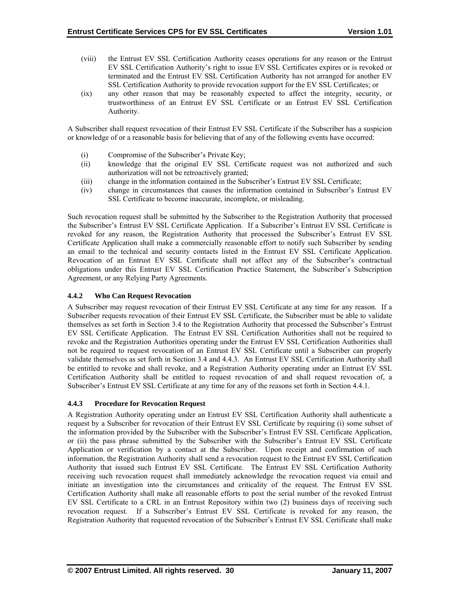- <span id="page-34-0"></span>(viii) the Entrust EV SSL Certification Authority ceases operations for any reason or the Entrust EV SSL Certification Authority's right to issue EV SSL Certificates expires or is revoked or terminated and the Entrust EV SSL Certification Authority has not arranged for another EV SSL Certification Authority to provide revocation support for the EV SSL Certificates; or
- (ix) any other reason that may be reasonably expected to affect the integrity, security, or trustworthiness of an Entrust EV SSL Certificate or an Entrust EV SSL Certification Authority.

A Subscriber shall request revocation of their Entrust EV SSL Certificate if the Subscriber has a suspicion or knowledge of or a reasonable basis for believing that of any of the following events have occurred:

- (i) Compromise of the Subscriber's Private Key;
- (ii) knowledge that the original EV SSL Certificate request was not authorized and such authorization will not be retroactively granted;
- (iii) change in the information contained in the Subscriber's Entrust EV SSL Certificate;
- (iv) change in circumstances that causes the information contained in Subscriber's Entrust EV SSL Certificate to become inaccurate, incomplete, or misleading.

Such revocation request shall be submitted by the Subscriber to the Registration Authority that processed the Subscriber's Entrust EV SSL Certificate Application. If a Subscriber's Entrust EV SSL Certificate is revoked for any reason, the Registration Authority that processed the Subscriber's Entrust EV SSL Certificate Application shall make a commercially reasonable effort to notify such Subscriber by sending an email to the technical and security contacts listed in the Entrust EV SSL Certificate Application. Revocation of an Entrust EV SSL Certificate shall not affect any of the Subscriber's contractual obligations under this Entrust EV SSL Certification Practice Statement, the Subscriber's Subscription Agreement, or any Relying Party Agreements.

# **4.4.2 Who Can Request Revocation**

A Subscriber may request revocation of their Entrust EV SSL Certificate at any time for any reason. If a Subscriber requests revocation of their Entrust EV SSL Certificate, the Subscriber must be able to validate themselves as set forth in Section 3.4 to the Registration Authority that processed the Subscriber's Entrust EV SSL Certificate Application. The Entrust EV SSL Certification Authorities shall not be required to revoke and the Registration Authorities operating under the Entrust EV SSL Certification Authorities shall not be required to request revocation of an Entrust EV SSL Certificate until a Subscriber can properly validate themselves as set forth in Section 3.4 and 4.4.3. An Entrust EV SSL Certification Authority shall be entitled to revoke and shall revoke, and a Registration Authority operating under an Entrust EV SSL Certification Authority shall be entitled to request revocation of and shall request revocation of, a Subscriber's Entrust EV SSL Certificate at any time for any of the reasons set forth in Section 4.4.1.

#### **4.4.3 Procedure for Revocation Request**

A Registration Authority operating under an Entrust EV SSL Certification Authority shall authenticate a request by a Subscriber for revocation of their Entrust EV SSL Certificate by requiring (i) some subset of the information provided by the Subscriber with the Subscriber's Entrust EV SSL Certificate Application, or (ii) the pass phrase submitted by the Subscriber with the Subscriber's Entrust EV SSL Certificate Application or verification by a contact at the Subscriber. Upon receipt and confirmation of such information, the Registration Authority shall send a revocation request to the Entrust EV SSL Certification Authority that issued such Entrust EV SSL Certificate. The Entrust EV SSL Certification Authority receiving such revocation request shall immediately acknowledge the revocation request via email and initiate an investigation into the circumstances and criticality of the request. The Entrust EV SSL Certification Authority shall make all reasonable efforts to post the serial number of the revoked Entrust EV SSL Certificate to a CRL in an Entrust Repository within two (2) business days of receiving such revocation request. If a Subscriber's Entrust EV SSL Certificate is revoked for any reason, the Registration Authority that requested revocation of the Subscriber's Entrust EV SSL Certificate shall make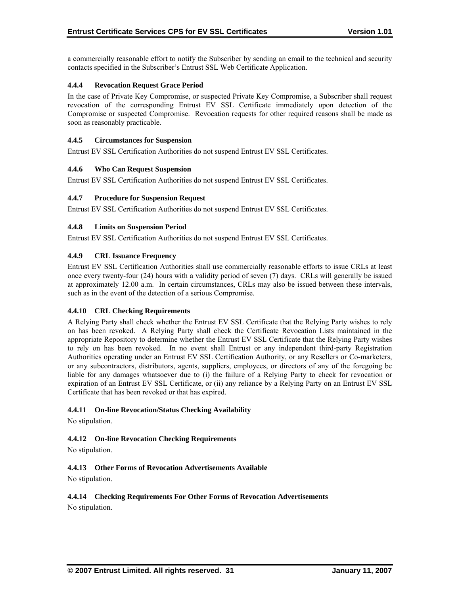<span id="page-35-0"></span>a commercially reasonable effort to notify the Subscriber by sending an email to the technical and security contacts specified in the Subscriber's Entrust SSL Web Certificate Application.

# **4.4.4 Revocation Request Grace Period**

In the case of Private Key Compromise, or suspected Private Key Compromise, a Subscriber shall request revocation of the corresponding Entrust EV SSL Certificate immediately upon detection of the Compromise or suspected Compromise. Revocation requests for other required reasons shall be made as soon as reasonably practicable.

#### **4.4.5 Circumstances for Suspension**

Entrust EV SSL Certification Authorities do not suspend Entrust EV SSL Certificates.

#### **4.4.6 Who Can Request Suspension**

Entrust EV SSL Certification Authorities do not suspend Entrust EV SSL Certificates.

#### **4.4.7 Procedure for Suspension Request**

Entrust EV SSL Certification Authorities do not suspend Entrust EV SSL Certificates.

# **4.4.8 Limits on Suspension Period**

Entrust EV SSL Certification Authorities do not suspend Entrust EV SSL Certificates.

#### **4.4.9 CRL Issuance Frequency**

Entrust EV SSL Certification Authorities shall use commercially reasonable efforts to issue CRLs at least once every twenty-four (24) hours with a validity period of seven (7) days. CRLs will generally be issued at approximately 12.00 a.m. In certain circumstances, CRLs may also be issued between these intervals, such as in the event of the detection of a serious Compromise.

#### **4.4.10 CRL Checking Requirements**

A Relying Party shall check whether the Entrust EV SSL Certificate that the Relying Party wishes to rely on has been revoked. A Relying Party shall check the Certificate Revocation Lists maintained in the appropriate Repository to determine whether the Entrust EV SSL Certificate that the Relying Party wishes to rely on has been revoked. In no event shall Entrust or any independent third-party Registration Authorities operating under an Entrust EV SSL Certification Authority, or any Resellers or Co-marketers, or any subcontractors, distributors, agents, suppliers, employees, or directors of any of the foregoing be liable for any damages whatsoever due to (i) the failure of a Relying Party to check for revocation or expiration of an Entrust EV SSL Certificate, or (ii) any reliance by a Relying Party on an Entrust EV SSL Certificate that has been revoked or that has expired.

#### **4.4.11 On-line Revocation/Status Checking Availability**

No stipulation.

#### **4.4.12 On-line Revocation Checking Requirements**

No stipulation.

# **4.4.13 Other Forms of Revocation Advertisements Available**

No stipulation.

# **4.4.14 Checking Requirements For Other Forms of Revocation Advertisements**

No stipulation.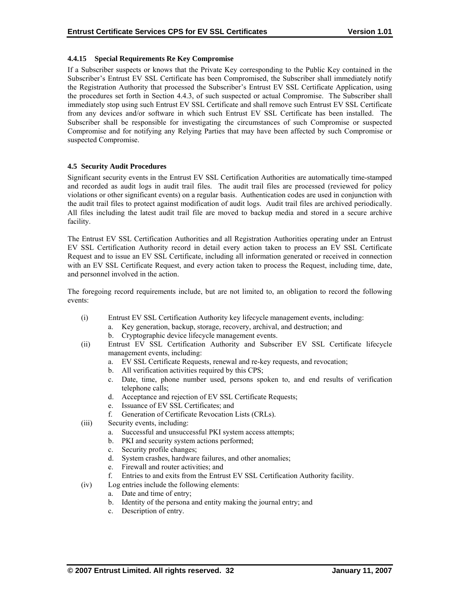# <span id="page-36-0"></span>**4.4.15 Special Requirements Re Key Compromise**

If a Subscriber suspects or knows that the Private Key corresponding to the Public Key contained in the Subscriber's Entrust EV SSL Certificate has been Compromised, the Subscriber shall immediately notify the Registration Authority that processed the Subscriber's Entrust EV SSL Certificate Application, using the procedures set forth in Section 4.4.3, of such suspected or actual Compromise. The Subscriber shall immediately stop using such Entrust EV SSL Certificate and shall remove such Entrust EV SSL Certificate from any devices and/or software in which such Entrust EV SSL Certificate has been installed. The Subscriber shall be responsible for investigating the circumstances of such Compromise or suspected Compromise and for notifying any Relying Parties that may have been affected by such Compromise or suspected Compromise.

#### **4.5 Security Audit Procedures**

Significant security events in the Entrust EV SSL Certification Authorities are automatically time-stamped and recorded as audit logs in audit trail files. The audit trail files are processed (reviewed for policy violations or other significant events) on a regular basis. Authentication codes are used in conjunction with the audit trail files to protect against modification of audit logs. Audit trail files are archived periodically. All files including the latest audit trail file are moved to backup media and stored in a secure archive facility.

The Entrust EV SSL Certification Authorities and all Registration Authorities operating under an Entrust EV SSL Certification Authority record in detail every action taken to process an EV SSL Certificate Request and to issue an EV SSL Certificate, including all information generated or received in connection with an EV SSL Certificate Request, and every action taken to process the Request, including time, date, and personnel involved in the action.

The foregoing record requirements include, but are not limited to, an obligation to record the following events:

- (i) Entrust EV SSL Certification Authority key lifecycle management events, including:
	- a. Key generation, backup, storage, recovery, archival, and destruction; and b. Cryptographic device lifecycle management events.
- (ii) Entrust EV SSL Certification Authority and Subscriber EV SSL Certificate lifecycle management events, including:
	- a. EV SSL Certificate Requests, renewal and re-key requests, and revocation;
	- b. All verification activities required by this CPS;
	- c. Date, time, phone number used, persons spoken to, and end results of verification telephone calls;
	- d. Acceptance and rejection of EV SSL Certificate Requests;
	- e. Issuance of EV SSL Certificates; and
	- f. Generation of Certificate Revocation Lists (CRLs).
- (iii) Security events, including:
	- a. Successful and unsuccessful PKI system access attempts;
	- b. PKI and security system actions performed;
	- c. Security profile changes;
	- d. System crashes, hardware failures, and other anomalies;
	- e. Firewall and router activities; and
	- f. Entries to and exits from the Entrust EV SSL Certification Authority facility.
- (iv) Log entries include the following elements:
	- a. Date and time of entry;
	- b. Identity of the persona and entity making the journal entry; and
	- c. Description of entry.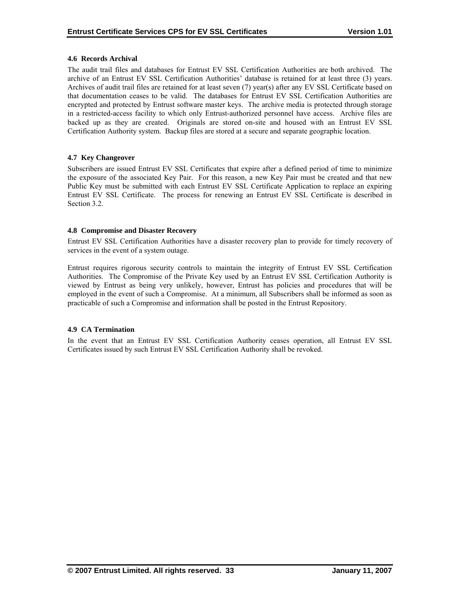#### <span id="page-37-0"></span>**4.6 Records Archival**

The audit trail files and databases for Entrust EV SSL Certification Authorities are both archived. The archive of an Entrust EV SSL Certification Authorities' database is retained for at least three (3) years. Archives of audit trail files are retained for at least seven (7) year(s) after any EV SSL Certificate based on that documentation ceases to be valid. The databases for Entrust EV SSL Certification Authorities are encrypted and protected by Entrust software master keys. The archive media is protected through storage in a restricted-access facility to which only Entrust-authorized personnel have access. Archive files are backed up as they are created. Originals are stored on-site and housed with an Entrust EV SSL Certification Authority system. Backup files are stored at a secure and separate geographic location.

# **4.7 Key Changeover**

Subscribers are issued Entrust EV SSL Certificates that expire after a defined period of time to minimize the exposure of the associated Key Pair. For this reason, a new Key Pair must be created and that new Public Key must be submitted with each Entrust EV SSL Certificate Application to replace an expiring Entrust EV SSL Certificate. The process for renewing an Entrust EV SSL Certificate is described in Section 3.2.

# **4.8 Compromise and Disaster Recovery**

Entrust EV SSL Certification Authorities have a disaster recovery plan to provide for timely recovery of services in the event of a system outage.

Entrust requires rigorous security controls to maintain the integrity of Entrust EV SSL Certification Authorities. The Compromise of the Private Key used by an Entrust EV SSL Certification Authority is viewed by Entrust as being very unlikely, however, Entrust has policies and procedures that will be employed in the event of such a Compromise. At a minimum, all Subscribers shall be informed as soon as practicable of such a Compromise and information shall be posted in the Entrust Repository.

#### **4.9 CA Termination**

In the event that an Entrust EV SSL Certification Authority ceases operation, all Entrust EV SSL Certificates issued by such Entrust EV SSL Certification Authority shall be revoked.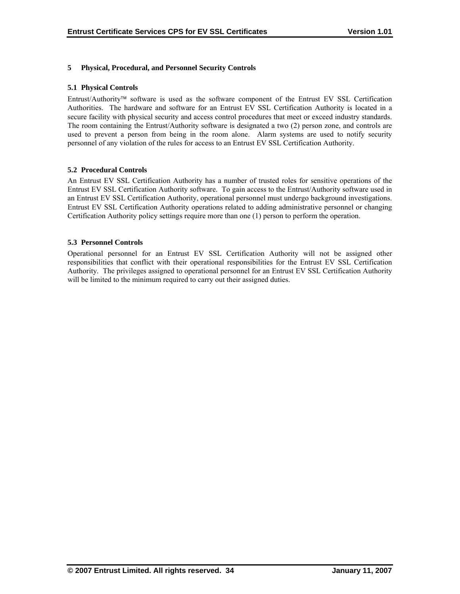# <span id="page-38-0"></span>**5 Physical, Procedural, and Personnel Security Controls**

#### **5.1 Physical Controls**

Entrust/Authority™ software is used as the software component of the Entrust EV SSL Certification Authorities. The hardware and software for an Entrust EV SSL Certification Authority is located in a secure facility with physical security and access control procedures that meet or exceed industry standards. The room containing the Entrust/Authority software is designated a two (2) person zone, and controls are used to prevent a person from being in the room alone. Alarm systems are used to notify security personnel of any violation of the rules for access to an Entrust EV SSL Certification Authority.

# **5.2 Procedural Controls**

An Entrust EV SSL Certification Authority has a number of trusted roles for sensitive operations of the Entrust EV SSL Certification Authority software. To gain access to the Entrust/Authority software used in an Entrust EV SSL Certification Authority, operational personnel must undergo background investigations. Entrust EV SSL Certification Authority operations related to adding administrative personnel or changing Certification Authority policy settings require more than one (1) person to perform the operation.

# **5.3 Personnel Controls**

Operational personnel for an Entrust EV SSL Certification Authority will not be assigned other responsibilities that conflict with their operational responsibilities for the Entrust EV SSL Certification Authority. The privileges assigned to operational personnel for an Entrust EV SSL Certification Authority will be limited to the minimum required to carry out their assigned duties.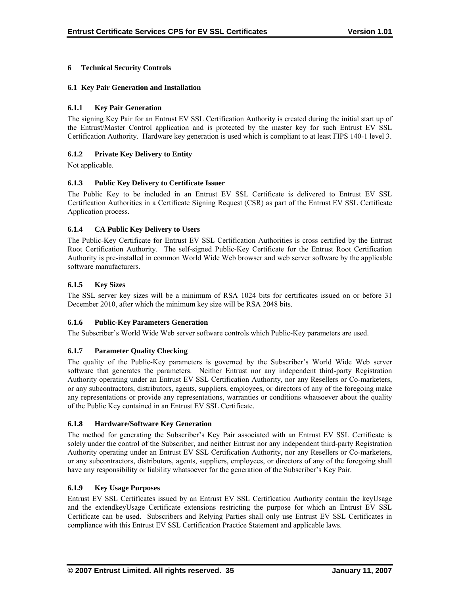# <span id="page-39-0"></span>**6 Technical Security Controls**

#### **6.1 Key Pair Generation and Installation**

#### **6.1.1 Key Pair Generation**

The signing Key Pair for an Entrust EV SSL Certification Authority is created during the initial start up of the Entrust/Master Control application and is protected by the master key for such Entrust EV SSL Certification Authority. Hardware key generation is used which is compliant to at least FIPS 140-1 level 3.

# **6.1.2 Private Key Delivery to Entity**

Not applicable.

# **6.1.3 Public Key Delivery to Certificate Issuer**

The Public Key to be included in an Entrust EV SSL Certificate is delivered to Entrust EV SSL Certification Authorities in a Certificate Signing Request (CSR) as part of the Entrust EV SSL Certificate Application process.

# **6.1.4 CA Public Key Delivery to Users**

The Public-Key Certificate for Entrust EV SSL Certification Authorities is cross certified by the Entrust Root Certification Authority. The self-signed Public-Key Certificate for the Entrust Root Certification Authority is pre-installed in common World Wide Web browser and web server software by the applicable software manufacturers.

# **6.1.5 Key Sizes**

The SSL server key sizes will be a minimum of RSA 1024 bits for certificates issued on or before 31 December 2010, after which the minimum key size will be RSA 2048 bits.

#### **6.1.6 Public-Key Parameters Generation**

The Subscriber's World Wide Web server software controls which Public-Key parameters are used.

#### **6.1.7 Parameter Quality Checking**

The quality of the Public-Key parameters is governed by the Subscriber's World Wide Web server software that generates the parameters. Neither Entrust nor any independent third-party Registration Authority operating under an Entrust EV SSL Certification Authority, nor any Resellers or Co-marketers, or any subcontractors, distributors, agents, suppliers, employees, or directors of any of the foregoing make any representations or provide any representations, warranties or conditions whatsoever about the quality of the Public Key contained in an Entrust EV SSL Certificate.

#### **6.1.8 Hardware/Software Key Generation**

The method for generating the Subscriber's Key Pair associated with an Entrust EV SSL Certificate is solely under the control of the Subscriber, and neither Entrust nor any independent third-party Registration Authority operating under an Entrust EV SSL Certification Authority, nor any Resellers or Co-marketers, or any subcontractors, distributors, agents, suppliers, employees, or directors of any of the foregoing shall have any responsibility or liability whatsoever for the generation of the Subscriber's Key Pair.

#### **6.1.9 Key Usage Purposes**

Entrust EV SSL Certificates issued by an Entrust EV SSL Certification Authority contain the keyUsage and the extendkeyUsage Certificate extensions restricting the purpose for which an Entrust EV SSL Certificate can be used. Subscribers and Relying Parties shall only use Entrust EV SSL Certificates in compliance with this Entrust EV SSL Certification Practice Statement and applicable laws.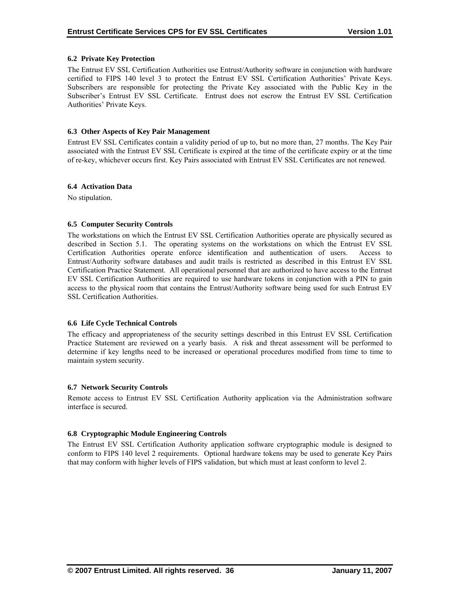# <span id="page-40-0"></span>**6.2 Private Key Protection**

The Entrust EV SSL Certification Authorities use Entrust/Authority software in conjunction with hardware certified to FIPS 140 level 3 to protect the Entrust EV SSL Certification Authorities' Private Keys. Subscribers are responsible for protecting the Private Key associated with the Public Key in the Subscriber's Entrust EV SSL Certificate. Entrust does not escrow the Entrust EV SSL Certification Authorities' Private Keys.

#### **6.3 Other Aspects of Key Pair Management**

Entrust EV SSL Certificates contain a validity period of up to, but no more than, 27 months. The Key Pair associated with the Entrust EV SSL Certificate is expired at the time of the certificate expiry or at the time of re-key, whichever occurs first. Key Pairs associated with Entrust EV SSL Certificates are not renewed.

#### **6.4 Activation Data**

No stipulation.

# **6.5 Computer Security Controls**

The workstations on which the Entrust EV SSL Certification Authorities operate are physically secured as described in Section 5.1. The operating systems on the workstations on which the Entrust EV SSL Certification Authorities operate enforce identification and authentication of users. Access to Entrust/Authority software databases and audit trails is restricted as described in this Entrust EV SSL Certification Practice Statement. All operational personnel that are authorized to have access to the Entrust EV SSL Certification Authorities are required to use hardware tokens in conjunction with a PIN to gain access to the physical room that contains the Entrust/Authority software being used for such Entrust EV SSL Certification Authorities.

#### **6.6 Life Cycle Technical Controls**

The efficacy and appropriateness of the security settings described in this Entrust EV SSL Certification Practice Statement are reviewed on a yearly basis. A risk and threat assessment will be performed to determine if key lengths need to be increased or operational procedures modified from time to time to maintain system security.

#### **6.7 Network Security Controls**

Remote access to Entrust EV SSL Certification Authority application via the Administration software interface is secured.

# **6.8 Cryptographic Module Engineering Controls**

The Entrust EV SSL Certification Authority application software cryptographic module is designed to conform to FIPS 140 level 2 requirements. Optional hardware tokens may be used to generate Key Pairs that may conform with higher levels of FIPS validation, but which must at least conform to level 2.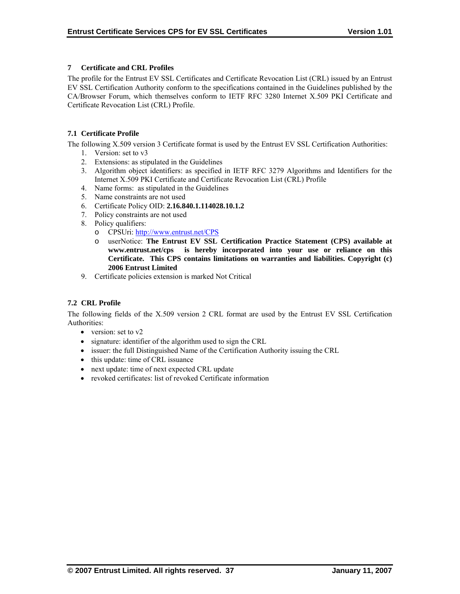# <span id="page-41-0"></span>**7 Certificate and CRL Profiles**

The profile for the Entrust EV SSL Certificates and Certificate Revocation List (CRL) issued by an Entrust EV SSL Certification Authority conform to the specifications contained in the Guidelines published by the CA/Browser Forum, which themselves conform to IETF RFC 3280 Internet X.509 PKI Certificate and Certificate Revocation List (CRL) Profile.

# **7.1 Certificate Profile**

The following X.509 version 3 Certificate format is used by the Entrust EV SSL Certification Authorities:

- 1. Version: set to v3
- 2. Extensions: as stipulated in the Guidelines
- 3. Algorithm object identifiers: as specified in IETF RFC 3279 Algorithms and Identifiers for the Internet X.509 PKI Certificate and Certificate Revocation List (CRL) Profile
- 4. Name forms: as stipulated in the Guidelines
- 5. Name constraints are not used
- 6. Certificate Policy OID: **2.16.840.1.114028.10.1.2**
- 7. Policy constraints are not used
- 8. Policy qualifiers:
	- o CPSUri:<http://www.entrust.net/CPS>
	- o userNotice: **The Entrust EV SSL Certification Practice Statement (CPS) available at www.entrust.net/cps is hereby incorporated into your use or reliance on this Certificate. This CPS contains limitations on warranties and liabilities. Copyright (c) 2006 Entrust Limited**
- 9. Certificate policies extension is marked Not Critical

# **7.2 CRL Profile**

The following fields of the X.509 version 2 CRL format are used by the Entrust EV SSL Certification Authorities:

- version: set to v2
- signature: identifier of the algorithm used to sign the CRL
- issuer: the full Distinguished Name of the Certification Authority issuing the CRL
- this update: time of CRL issuance
- next update: time of next expected CRL update
- revoked certificates: list of revoked Certificate information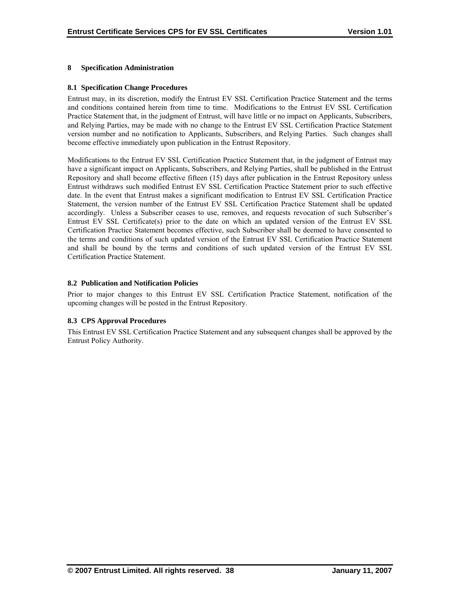# <span id="page-42-0"></span>**8 Specification Administration**

#### **8.1 Specification Change Procedures**

Entrust may, in its discretion, modify the Entrust EV SSL Certification Practice Statement and the terms and conditions contained herein from time to time. Modifications to the Entrust EV SSL Certification Practice Statement that, in the judgment of Entrust, will have little or no impact on Applicants, Subscribers, and Relying Parties, may be made with no change to the Entrust EV SSL Certification Practice Statement version number and no notification to Applicants, Subscribers, and Relying Parties. Such changes shall become effective immediately upon publication in the Entrust Repository.

Modifications to the Entrust EV SSL Certification Practice Statement that, in the judgment of Entrust may have a significant impact on Applicants, Subscribers, and Relying Parties, shall be published in the Entrust Repository and shall become effective fifteen (15) days after publication in the Entrust Repository unless Entrust withdraws such modified Entrust EV SSL Certification Practice Statement prior to such effective date. In the event that Entrust makes a significant modification to Entrust EV SSL Certification Practice Statement, the version number of the Entrust EV SSL Certification Practice Statement shall be updated accordingly. Unless a Subscriber ceases to use, removes, and requests revocation of such Subscriber's Entrust EV SSL Certificate(s) prior to the date on which an updated version of the Entrust EV SSL Certification Practice Statement becomes effective, such Subscriber shall be deemed to have consented to the terms and conditions of such updated version of the Entrust EV SSL Certification Practice Statement and shall be bound by the terms and conditions of such updated version of the Entrust EV SSL Certification Practice Statement.

# **8.2 Publication and Notification Policies**

Prior to major changes to this Entrust EV SSL Certification Practice Statement, notification of the upcoming changes will be posted in the Entrust Repository.

# **8.3 CPS Approval Procedures**

This Entrust EV SSL Certification Practice Statement and any subsequent changes shall be approved by the Entrust Policy Authority.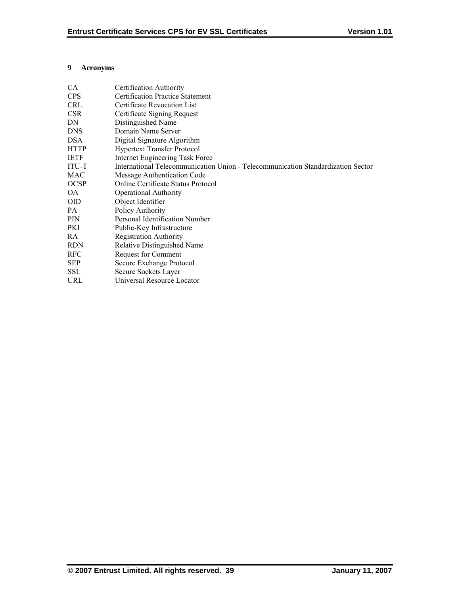# <span id="page-43-0"></span>**9 Acronyms**

| CA          | Certification Authority                                                          |
|-------------|----------------------------------------------------------------------------------|
| <b>CPS</b>  | <b>Certification Practice Statement</b>                                          |
| <b>CRL</b>  | Certificate Revocation List                                                      |
| <b>CSR</b>  | Certificate Signing Request                                                      |
| DN          | Distinguished Name                                                               |
| <b>DNS</b>  | Domain Name Server                                                               |
| <b>DSA</b>  | Digital Signature Algorithm                                                      |
| <b>HTTP</b> | <b>Hypertext Transfer Protocol</b>                                               |
| <b>IETF</b> | Internet Engineering Task Force                                                  |
| ITU-T       | International Telecommunication Union - Telecommunication Standardization Sector |
| MAC         | Message Authentication Code                                                      |
| <b>OCSP</b> | Online Certificate Status Protocol                                               |
| OA          | <b>Operational Authority</b>                                                     |
| <b>OID</b>  | Object Identifier                                                                |
| PA          | Policy Authority                                                                 |
| <b>PIN</b>  | Personal Identification Number                                                   |
| PKI         | Public-Key Infrastructure                                                        |
| RA          | <b>Registration Authority</b>                                                    |
| <b>RDN</b>  | Relative Distinguished Name                                                      |
| <b>RFC</b>  | Request for Comment                                                              |
| <b>SEP</b>  | Secure Exchange Protocol                                                         |
| <b>SSL</b>  | Secure Sockets Layer                                                             |
| URL         | Universal Resource Locator                                                       |
|             |                                                                                  |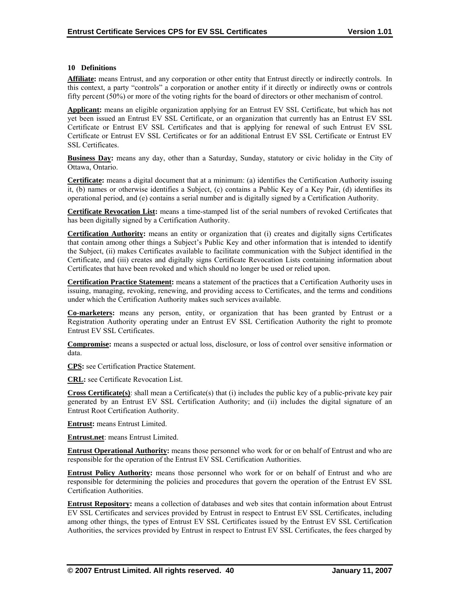#### <span id="page-44-0"></span>**10 Definitions**

**Affiliate:** means Entrust, and any corporation or other entity that Entrust directly or indirectly controls. In this context, a party "controls" a corporation or another entity if it directly or indirectly owns or controls fifty percent (50%) or more of the voting rights for the board of directors or other mechanism of control.

**Applicant:** means an eligible organization applying for an Entrust EV SSL Certificate, but which has not yet been issued an Entrust EV SSL Certificate, or an organization that currently has an Entrust EV SSL Certificate or Entrust EV SSL Certificates and that is applying for renewal of such Entrust EV SSL Certificate or Entrust EV SSL Certificates or for an additional Entrust EV SSL Certificate or Entrust EV SSL Certificates.

**Business Day:** means any day, other than a Saturday, Sunday, statutory or civic holiday in the City of Ottawa, Ontario.

**Certificate:** means a digital document that at a minimum: (a) identifies the Certification Authority issuing it, (b) names or otherwise identifies a Subject, (c) contains a Public Key of a Key Pair, (d) identifies its operational period, and (e) contains a serial number and is digitally signed by a Certification Authority.

**Certificate Revocation List:** means a time-stamped list of the serial numbers of revoked Certificates that has been digitally signed by a Certification Authority.

**Certification Authority:** means an entity or organization that (i) creates and digitally signs Certificates that contain among other things a Subject's Public Key and other information that is intended to identify the Subject, (ii) makes Certificates available to facilitate communication with the Subject identified in the Certificate, and (iii) creates and digitally signs Certificate Revocation Lists containing information about Certificates that have been revoked and which should no longer be used or relied upon.

**Certification Practice Statement:** means a statement of the practices that a Certification Authority uses in issuing, managing, revoking, renewing, and providing access to Certificates, and the terms and conditions under which the Certification Authority makes such services available.

**Co-marketers:** means any person, entity, or organization that has been granted by Entrust or a Registration Authority operating under an Entrust EV SSL Certification Authority the right to promote Entrust EV SSL Certificates.

**Compromise:** means a suspected or actual loss, disclosure, or loss of control over sensitive information or data.

**CPS:** see Certification Practice Statement.

**CRL:** see Certificate Revocation List.

**Cross Certificate(s)**: shall mean a Certificate(s) that (i) includes the public key of a public-private key pair generated by an Entrust EV SSL Certification Authority; and (ii) includes the digital signature of an Entrust Root Certification Authority.

**Entrust:** means Entrust Limited.

**Entrust.net**: means Entrust Limited.

**Entrust Operational Authority:** means those personnel who work for or on behalf of Entrust and who are responsible for the operation of the Entrust EV SSL Certification Authorities.

**Entrust Policy Authority:** means those personnel who work for or on behalf of Entrust and who are responsible for determining the policies and procedures that govern the operation of the Entrust EV SSL Certification Authorities.

**Entrust Repository:** means a collection of databases and web sites that contain information about Entrust EV SSL Certificates and services provided by Entrust in respect to Entrust EV SSL Certificates, including among other things, the types of Entrust EV SSL Certificates issued by the Entrust EV SSL Certification Authorities, the services provided by Entrust in respect to Entrust EV SSL Certificates, the fees charged by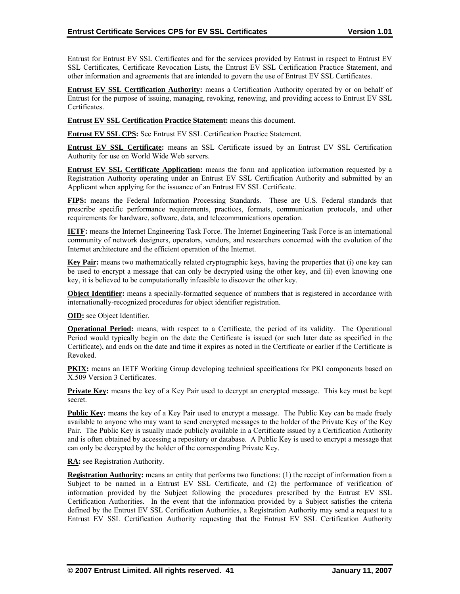Entrust for Entrust EV SSL Certificates and for the services provided by Entrust in respect to Entrust EV SSL Certificates, Certificate Revocation Lists, the Entrust EV SSL Certification Practice Statement, and other information and agreements that are intended to govern the use of Entrust EV SSL Certificates.

**Entrust EV SSL Certification Authority:** means a Certification Authority operated by or on behalf of Entrust for the purpose of issuing, managing, revoking, renewing, and providing access to Entrust EV SSL Certificates.

**Entrust EV SSL Certification Practice Statement:** means this document.

**Entrust EV SSL CPS:** See Entrust EV SSL Certification Practice Statement.

**Entrust EV SSL Certificate:** means an SSL Certificate issued by an Entrust EV SSL Certification Authority for use on World Wide Web servers.

**Entrust EV SSL Certificate Application:** means the form and application information requested by a Registration Authority operating under an Entrust EV SSL Certification Authority and submitted by an Applicant when applying for the issuance of an Entrust EV SSL Certificate.

**FIPS:** means the Federal Information Processing Standards. These are U.S. Federal standards that prescribe specific performance requirements, practices, formats, communication protocols, and other requirements for hardware, software, data, and telecommunications operation.

**IETF:** means the Internet Engineering Task Force. The Internet Engineering Task Force is an international community of network designers, operators, vendors, and researchers concerned with the evolution of the Internet architecture and the efficient operation of the Internet.

**Key Pair:** means two mathematically related cryptographic keys, having the properties that (i) one key can be used to encrypt a message that can only be decrypted using the other key, and (ii) even knowing one key, it is believed to be computationally infeasible to discover the other key.

**Object Identifier:** means a specially-formatted sequence of numbers that is registered in accordance with internationally-recognized procedures for object identifier registration.

**OID:** see Object Identifier.

**Operational Period:** means, with respect to a Certificate, the period of its validity. The Operational Period would typically begin on the date the Certificate is issued (or such later date as specified in the Certificate), and ends on the date and time it expires as noted in the Certificate or earlier if the Certificate is Revoked.

**PKIX:** means an IETF Working Group developing technical specifications for PKI components based on X.509 Version 3 Certificates.

**Private Key:** means the key of a Key Pair used to decrypt an encrypted message. This key must be kept secret.

**Public Key:** means the key of a Key Pair used to encrypt a message. The Public Key can be made freely available to anyone who may want to send encrypted messages to the holder of the Private Key of the Key Pair. The Public Key is usually made publicly available in a Certificate issued by a Certification Authority and is often obtained by accessing a repository or database. A Public Key is used to encrypt a message that can only be decrypted by the holder of the corresponding Private Key.

**RA:** see Registration Authority.

**Registration Authority:** means an entity that performs two functions: (1) the receipt of information from a Subject to be named in a Entrust EV SSL Certificate, and (2) the performance of verification of information provided by the Subject following the procedures prescribed by the Entrust EV SSL Certification Authorities. In the event that the information provided by a Subject satisfies the criteria defined by the Entrust EV SSL Certification Authorities, a Registration Authority may send a request to a Entrust EV SSL Certification Authority requesting that the Entrust EV SSL Certification Authority